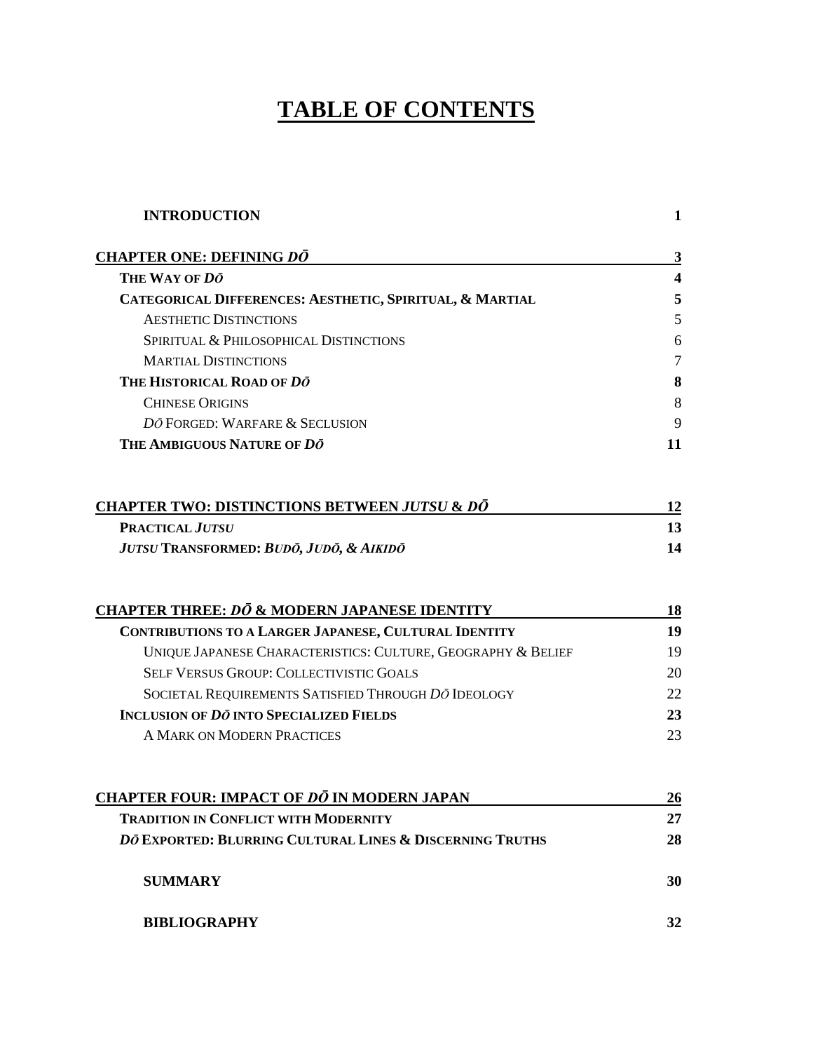# **TABLE OF CONTENTS**

| <b>INTRODUCTION</b>                                          | $\mathbf{1}$            |
|--------------------------------------------------------------|-------------------------|
| <b>CHAPTER ONE: DEFINING DO</b>                              | $\mathbf{3}$            |
| THE WAY OF DO                                                | $\overline{\mathbf{4}}$ |
| CATEGORICAL DIFFERENCES: AESTHETIC, SPIRITUAL, & MARTIAL     | 5                       |
| <b>AESTHETIC DISTINCTIONS</b>                                | 5                       |
| SPIRITUAL & PHILOSOPHICAL DISTINCTIONS                       | 6                       |
| <b>MARTIAL DISTINCTIONS</b>                                  | $\overline{7}$          |
| THE HISTORICAL ROAD OF DO                                    | 8                       |
| <b>CHINESE ORIGINS</b>                                       | 8                       |
| DO FORGED: WARFARE & SECLUSION                               | 9                       |
| THE AMBIGUOUS NATURE OF DO                                   | 11                      |
| <b>CHAPTER TWO: DISTINCTIONS BETWEEN JUTSU &amp; DŌ</b>      | 12                      |
| <b>PRACTICAL JUTSU</b>                                       | 13                      |
| JUTSU TRANSFORMED: BUDŌ, JUDŌ, & AIKIDŌ                      | 14                      |
| <b>CHAPTER THREE: DO &amp; MODERN JAPANESE IDENTITY</b>      | 18                      |
| CONTRIBUTIONS TO A LARGER JAPANESE, CULTURAL IDENTITY        | 19                      |
| UNIQUE JAPANESE CHARACTERISTICS: CULTURE, GEOGRAPHY & BELIEF | 19                      |
| <b>SELF VERSUS GROUP: COLLECTIVISTIC GOALS</b>               | 20                      |
| SOCIETAL REQUIREMENTS SATISFIED THROUGH DO IDEOLOGY          | 22                      |
| <b>INCLUSION OF DO INTO SPECIALIZED FIELDS</b>               | 23                      |
| A MARK ON MODERN PRACTICES                                   | 23                      |
| <u>CHAPTER FOUR: IMPACT OF <i>DŌ</i> IN MODERN JAPAN</u>     | 26                      |
| <b>TRADITION IN CONFLICT WITH MODERNITY</b>                  | 27                      |
| DO EXPORTED: BLURRING CULTURAL LINES & DISCERNING TRUTHS     | 28                      |
| <b>SUMMARY</b>                                               | 30                      |
| <b>BIBLIOGRAPHY</b>                                          | 32                      |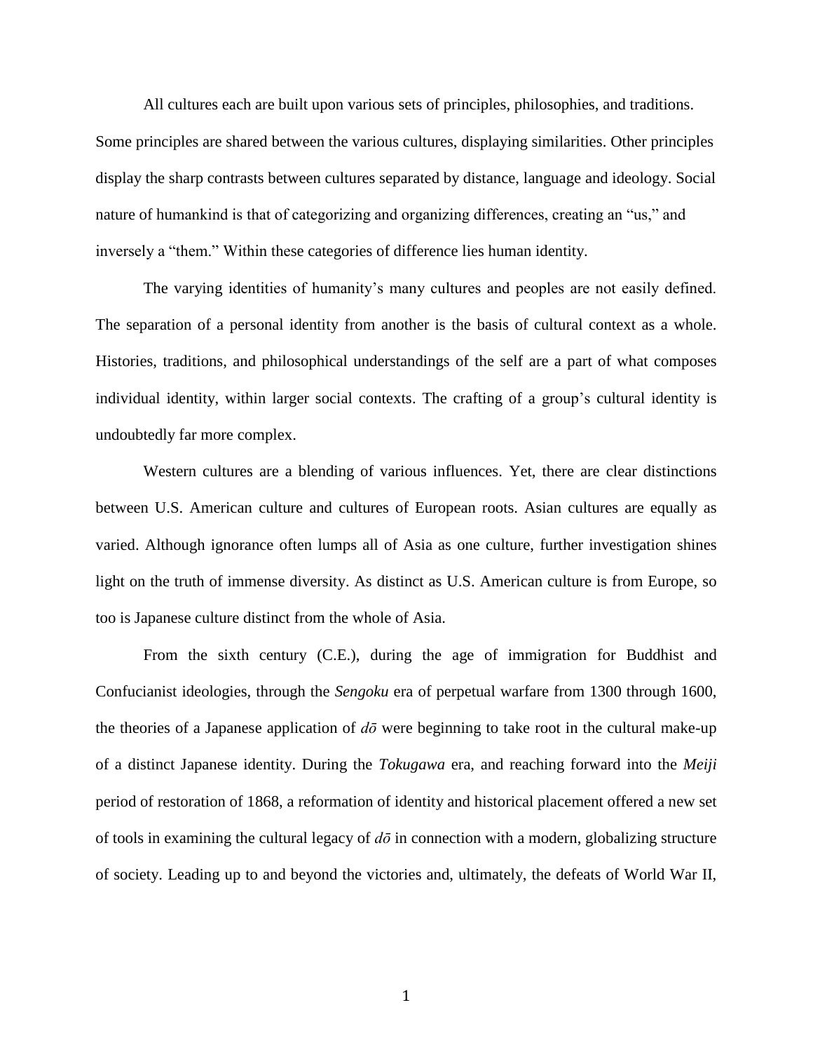All cultures each are built upon various sets of principles, philosophies, and traditions. Some principles are shared between the various cultures, displaying similarities. Other principles display the sharp contrasts between cultures separated by distance, language and ideology. Social nature of humankind is that of categorizing and organizing differences, creating an "us," and inversely a "them." Within these categories of difference lies human identity.

The varying identities of humanity's many cultures and peoples are not easily defined. The separation of a personal identity from another is the basis of cultural context as a whole. Histories, traditions, and philosophical understandings of the self are a part of what composes individual identity, within larger social contexts. The crafting of a group's cultural identity is undoubtedly far more complex.

Western cultures are a blending of various influences. Yet, there are clear distinctions between U.S. American culture and cultures of European roots. Asian cultures are equally as varied. Although ignorance often lumps all of Asia as one culture, further investigation shines light on the truth of immense diversity. As distinct as U.S. American culture is from Europe, so too is Japanese culture distinct from the whole of Asia.

From the sixth century (C.E.), during the age of immigration for Buddhist and Confucianist ideologies, through the *Sengoku* era of perpetual warfare from 1300 through 1600, the theories of a Japanese application of *dō* were beginning to take root in the cultural make-up of a distinct Japanese identity. During the *Tokugawa* era, and reaching forward into the *Meiji* period of restoration of 1868, a reformation of identity and historical placement offered a new set of tools in examining the cultural legacy of *dō* in connection with a modern, globalizing structure of society. Leading up to and beyond the victories and, ultimately, the defeats of World War II,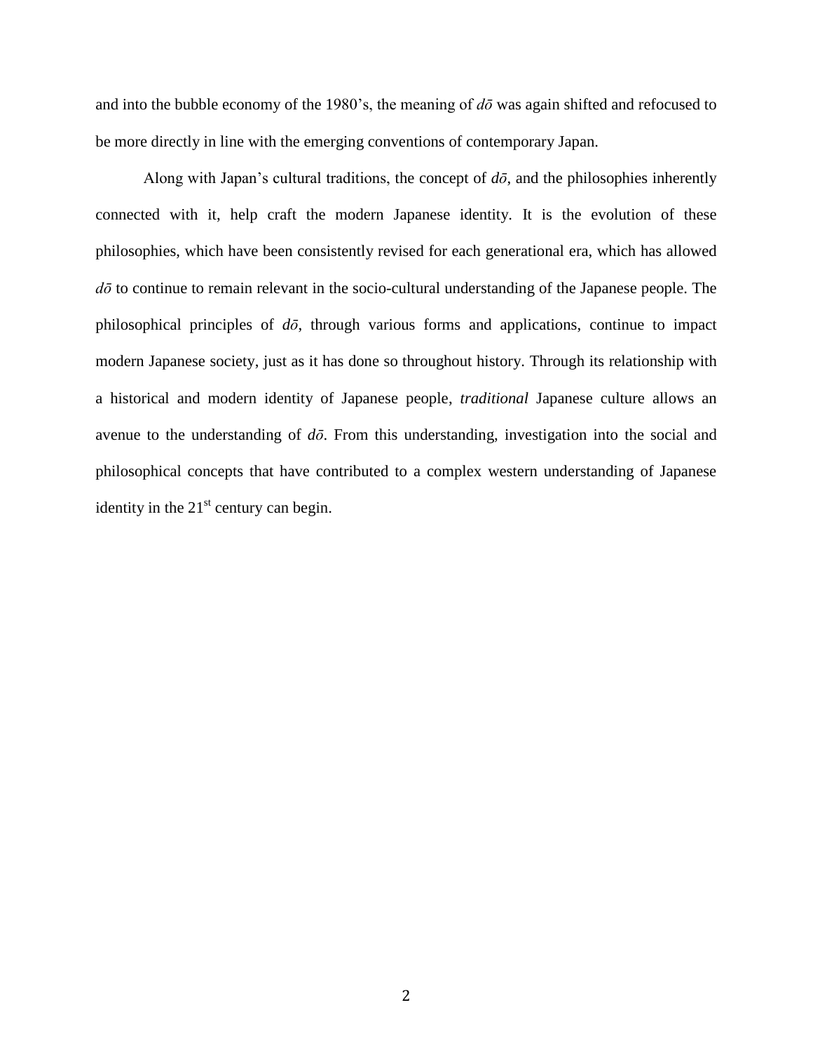and into the bubble economy of the 1980's, the meaning of *dō* was again shifted and refocused to be more directly in line with the emerging conventions of contemporary Japan.

Along with Japan's cultural traditions, the concept of  $d\bar{o}$ , and the philosophies inherently connected with it, help craft the modern Japanese identity. It is the evolution of these philosophies, which have been consistently revised for each generational era, which has allowed *dō* to continue to remain relevant in the socio-cultural understanding of the Japanese people. The philosophical principles of *dō*, through various forms and applications, continue to impact modern Japanese society, just as it has done so throughout history. Through its relationship with a historical and modern identity of Japanese people, *traditional* Japanese culture allows an avenue to the understanding of *dō*. From this understanding, investigation into the social and philosophical concepts that have contributed to a complex western understanding of Japanese identity in the  $21<sup>st</sup>$  century can begin.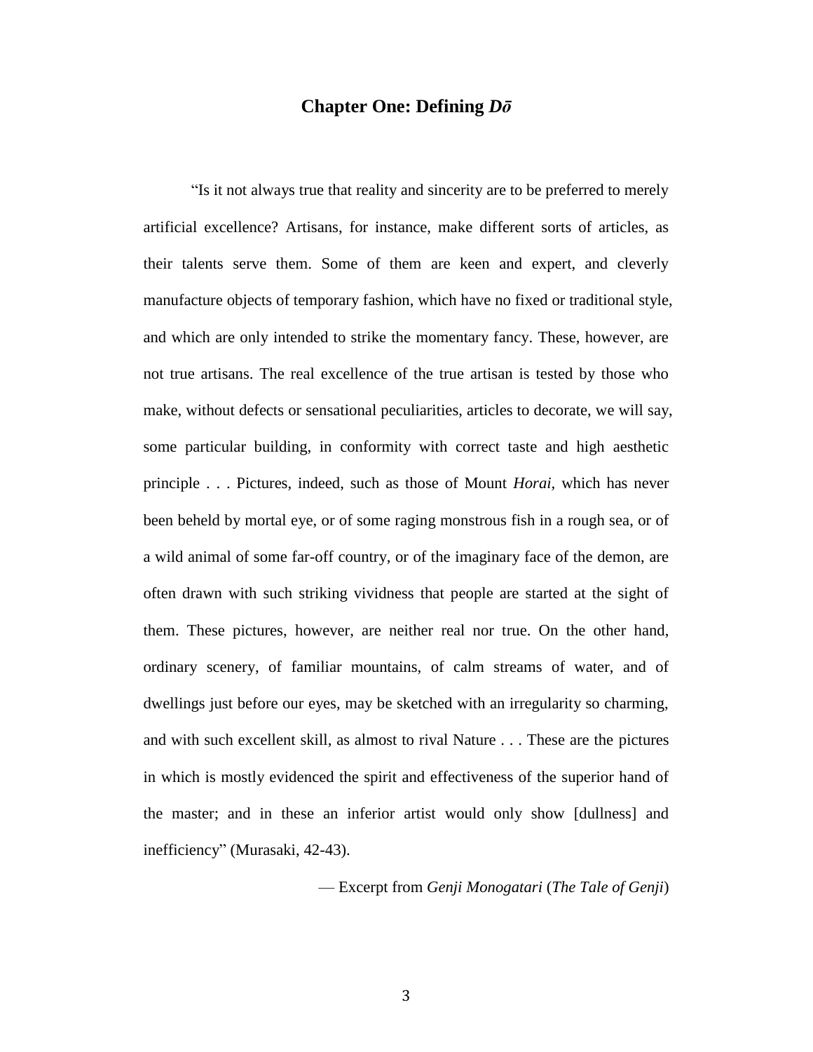# **Chapter One: Defining** *Dō*

"Is it not always true that reality and sincerity are to be preferred to merely artificial excellence? Artisans, for instance, make different sorts of articles, as their talents serve them. Some of them are keen and expert, and cleverly manufacture objects of temporary fashion, which have no fixed or traditional style, and which are only intended to strike the momentary fancy. These, however, are not true artisans. The real excellence of the true artisan is tested by those who make, without defects or sensational peculiarities, articles to decorate, we will say, some particular building, in conformity with correct taste and high aesthetic principle . . . Pictures, indeed, such as those of Mount *Horai,* which has never been beheld by mortal eye, or of some raging monstrous fish in a rough sea, or of a wild animal of some far-off country, or of the imaginary face of the demon, are often drawn with such striking vividness that people are started at the sight of them. These pictures, however, are neither real nor true. On the other hand, ordinary scenery, of familiar mountains, of calm streams of water, and of dwellings just before our eyes, may be sketched with an irregularity so charming, and with such excellent skill, as almost to rival Nature . . . These are the pictures in which is mostly evidenced the spirit and effectiveness of the superior hand of the master; and in these an inferior artist would only show [dullness] and inefficiency" (Murasaki, 42-43).

— Excerpt from *Genji Monogatari* (*The Tale of Genji*)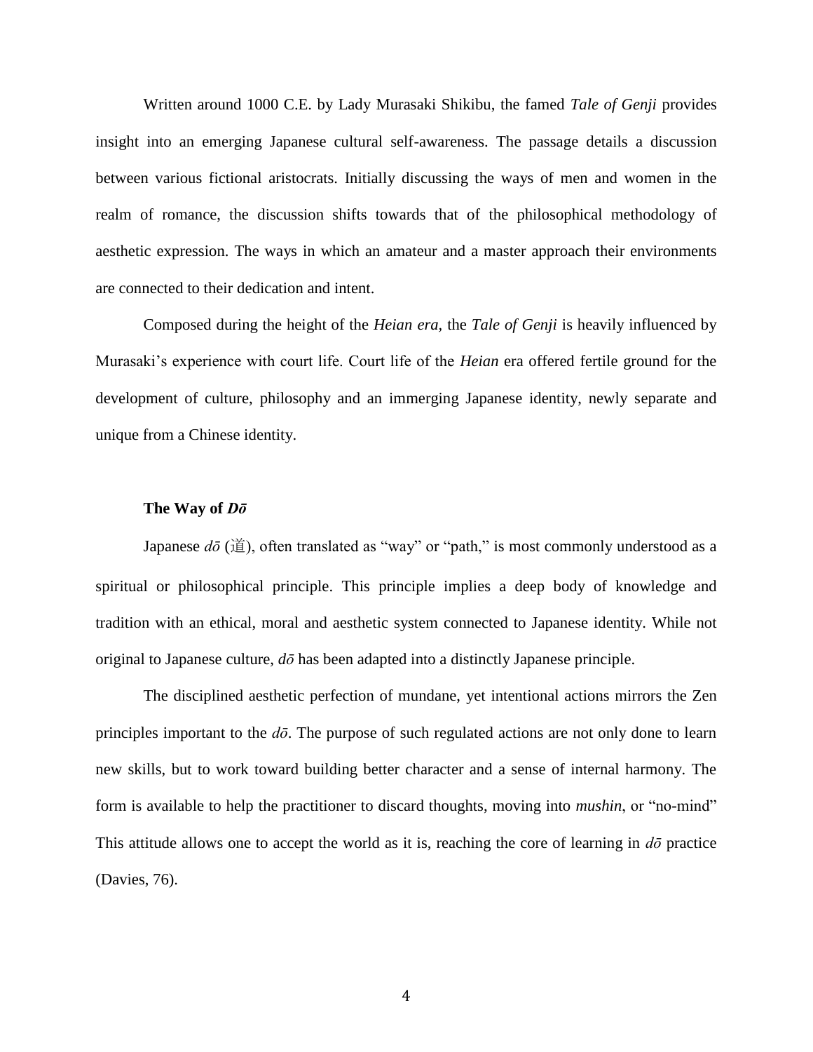Written around 1000 C.E. by Lady Murasaki Shikibu, the famed *Tale of Genji* provides insight into an emerging Japanese cultural self-awareness. The passage details a discussion between various fictional aristocrats. Initially discussing the ways of men and women in the realm of romance, the discussion shifts towards that of the philosophical methodology of aesthetic expression. The ways in which an amateur and a master approach their environments are connected to their dedication and intent.

Composed during the height of the *Heian era,* the *Tale of Genji* is heavily influenced by Murasaki's experience with court life. Court life of the *Heian* era offered fertile ground for the development of culture, philosophy and an immerging Japanese identity, newly separate and unique from a Chinese identity.

### **The Way of** *Dō*

Japanese  $d\bar{\sigma}$  (道), often translated as "way" or "path," is most commonly understood as a spiritual or philosophical principle. This principle implies a deep body of knowledge and tradition with an ethical, moral and aesthetic system connected to Japanese identity. While not original to Japanese culture, *dō* has been adapted into a distinctly Japanese principle.

The disciplined aesthetic perfection of mundane, yet intentional actions mirrors the Zen principles important to the  $d\bar{\sigma}$ . The purpose of such regulated actions are not only done to learn new skills, but to work toward building better character and a sense of internal harmony. The form is available to help the practitioner to discard thoughts, moving into *mushin*, or "no-mind" This attitude allows one to accept the world as it is, reaching the core of learning in *dō* practice (Davies, 76).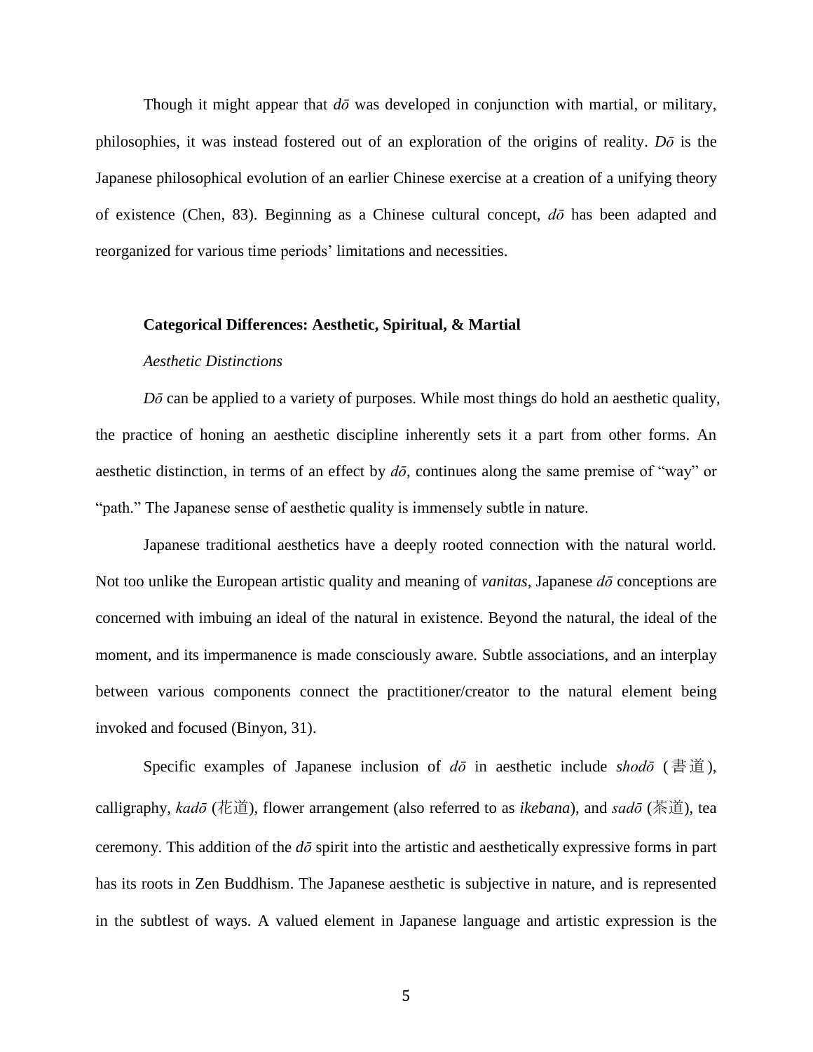Though it might appear that  $d\bar{\sigma}$  was developed in conjunction with martial, or military, philosophies, it was instead fostered out of an exploration of the origins of reality. *Dō* is the Japanese philosophical evolution of an earlier Chinese exercise at a creation of a unifying theory of existence (Chen, 83). Beginning as a Chinese cultural concept, *dō* has been adapted and reorganized for various time periods' limitations and necessities.

### **Categorical Differences: Aesthetic, Spiritual, & Martial**

### *Aesthetic Distinctions*

*Dō* can be applied to a variety of purposes. While most things do hold an aesthetic quality, the practice of honing an aesthetic discipline inherently sets it a part from other forms. An aesthetic distinction, in terms of an effect by *dō*, continues along the same premise of "way" or "path." The Japanese sense of aesthetic quality is immensely subtle in nature.

Japanese traditional aesthetics have a deeply rooted connection with the natural world. Not too unlike the European artistic quality and meaning of *vanitas*, Japanese *dō* conceptions are concerned with imbuing an ideal of the natural in existence. Beyond the natural, the ideal of the moment, and its impermanence is made consciously aware. Subtle associations, and an interplay between various components connect the practitioner/creator to the natural element being invoked and focused (Binyon, 31).

Specific examples of Japanese inclusion of *dō* in aesthetic include *shodō* (書道), calligraphy, *kadō* (花道), flower arrangement (also referred to as *ikebana*), and *sadō* (茶道), tea ceremony. This addition of the *dō* spirit into the artistic and aesthetically expressive forms in part has its roots in Zen Buddhism. The Japanese aesthetic is subjective in nature, and is represented in the subtlest of ways. A valued element in Japanese language and artistic expression is the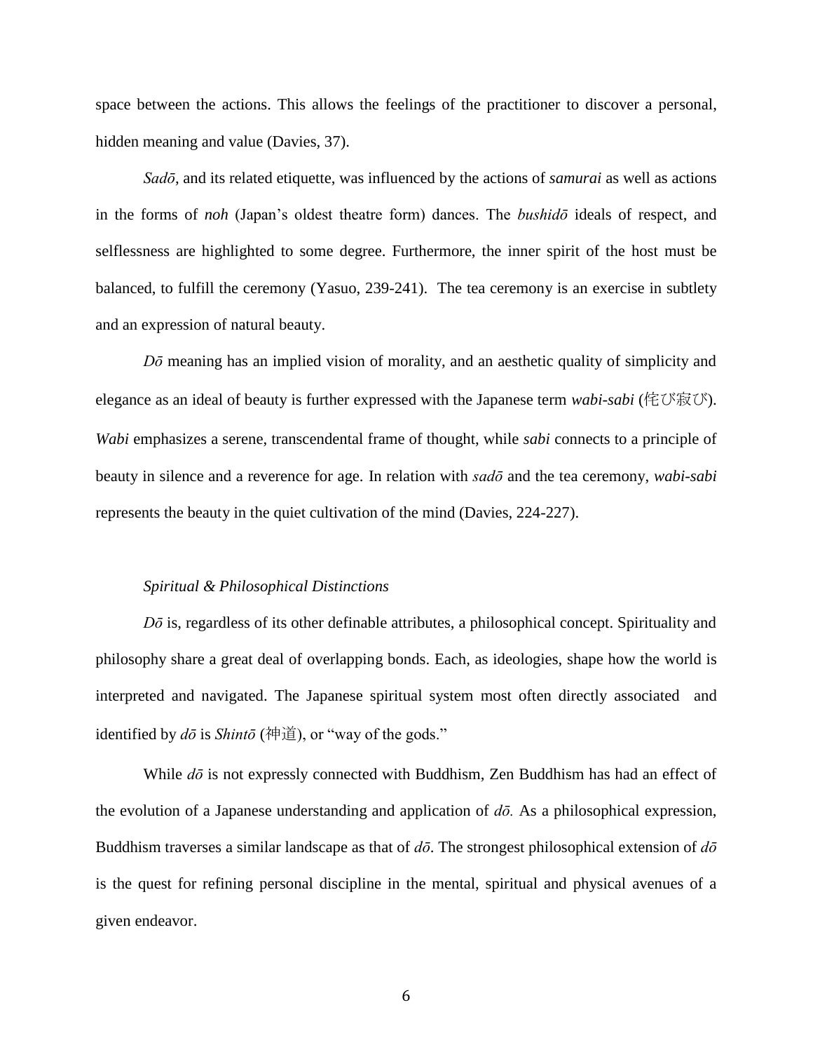space between the actions. This allows the feelings of the practitioner to discover a personal, hidden meaning and value (Davies, 37).

*Sadō*, and its related etiquette, was influenced by the actions of *samurai* as well as actions in the forms of *noh* (Japan's oldest theatre form) dances. The *bushidō* ideals of respect, and selflessness are highlighted to some degree. Furthermore, the inner spirit of the host must be balanced, to fulfill the ceremony (Yasuo, 239-241). The tea ceremony is an exercise in subtlety and an expression of natural beauty.

*Dō* meaning has an implied vision of morality, and an aesthetic quality of simplicity and elegance as an ideal of beauty is further expressed with the Japanese term *wabi-sabi* (侘び寂び). *Wabi* emphasizes a serene, transcendental frame of thought, while *sabi* connects to a principle of beauty in silence and a reverence for age. In relation with *sadō* and the tea ceremony, *wabi-sabi* represents the beauty in the quiet cultivation of the mind (Davies, 224-227).

### *Spiritual & Philosophical Distinctions*

*Dō* is, regardless of its other definable attributes, a philosophical concept. Spirituality and philosophy share a great deal of overlapping bonds. Each, as ideologies, shape how the world is interpreted and navigated. The Japanese spiritual system most often directly associated and identified by *dō* is *Shintō* (神道), or "way of the gods."

While *dō* is not expressly connected with Buddhism, Zen Buddhism has had an effect of the evolution of a Japanese understanding and application of *dō.* As a philosophical expression, Buddhism traverses a similar landscape as that of *dō*. The strongest philosophical extension of *dō* is the quest for refining personal discipline in the mental, spiritual and physical avenues of a given endeavor.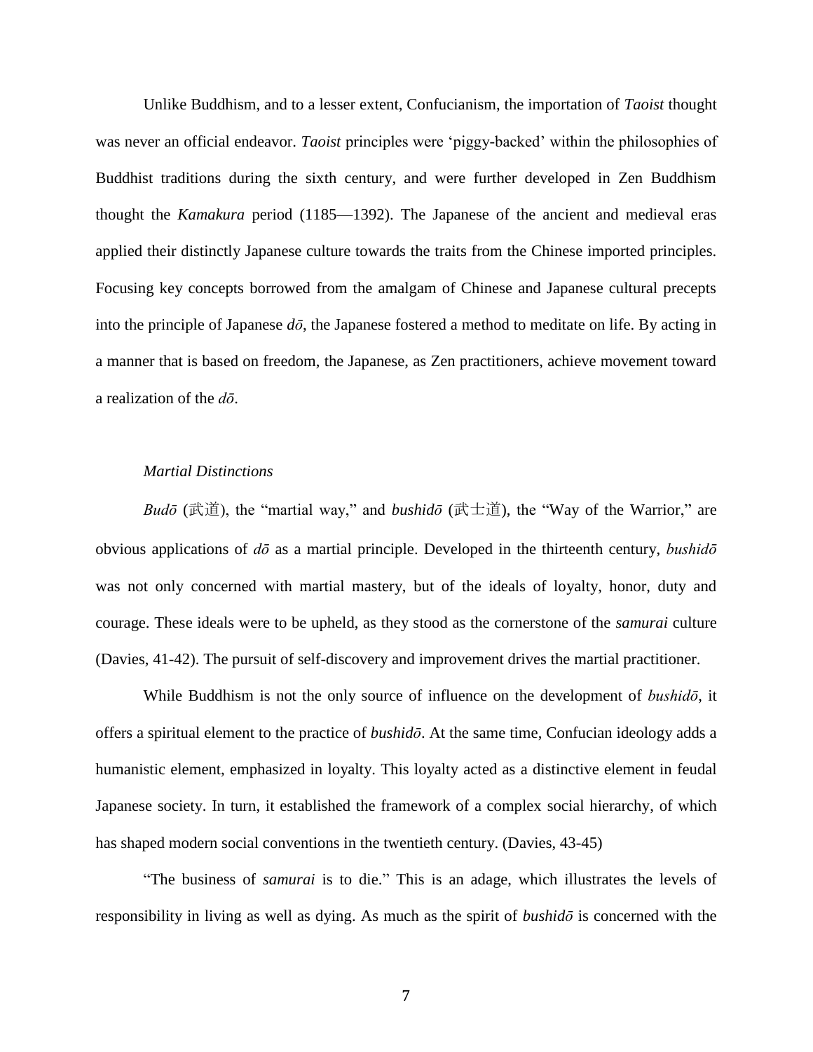Unlike Buddhism, and to a lesser extent, Confucianism, the importation of *Taoist* thought was never an official endeavor. *Taoist* principles were 'piggy-backed' within the philosophies of Buddhist traditions during the sixth century, and were further developed in Zen Buddhism thought the *Kamakura* period (1185—1392). The Japanese of the ancient and medieval eras applied their distinctly Japanese culture towards the traits from the Chinese imported principles. Focusing key concepts borrowed from the amalgam of Chinese and Japanese cultural precepts into the principle of Japanese *dō*, the Japanese fostered a method to meditate on life. By acting in a manner that is based on freedom, the Japanese, as Zen practitioners, achieve movement toward a realization of the *dō*.

### *Martial Distinctions*

*Budō* (武道), the "martial way," and *bushidō* (武士道), the "Way of the Warrior," are obvious applications of *dō* as a martial principle. Developed in the thirteenth century, *bushidō* was not only concerned with martial mastery, but of the ideals of loyalty, honor, duty and courage. These ideals were to be upheld, as they stood as the cornerstone of the *samurai* culture (Davies, 41-42). The pursuit of self-discovery and improvement drives the martial practitioner.

While Buddhism is not the only source of influence on the development of *bushidō*, it offers a spiritual element to the practice of *bushidō*. At the same time, Confucian ideology adds a humanistic element, emphasized in loyalty. This loyalty acted as a distinctive element in feudal Japanese society. In turn, it established the framework of a complex social hierarchy, of which has shaped modern social conventions in the twentieth century. (Davies, 43-45)

"The business of *samurai* is to die." This is an adage, which illustrates the levels of responsibility in living as well as dying. As much as the spirit of *bushidō* is concerned with the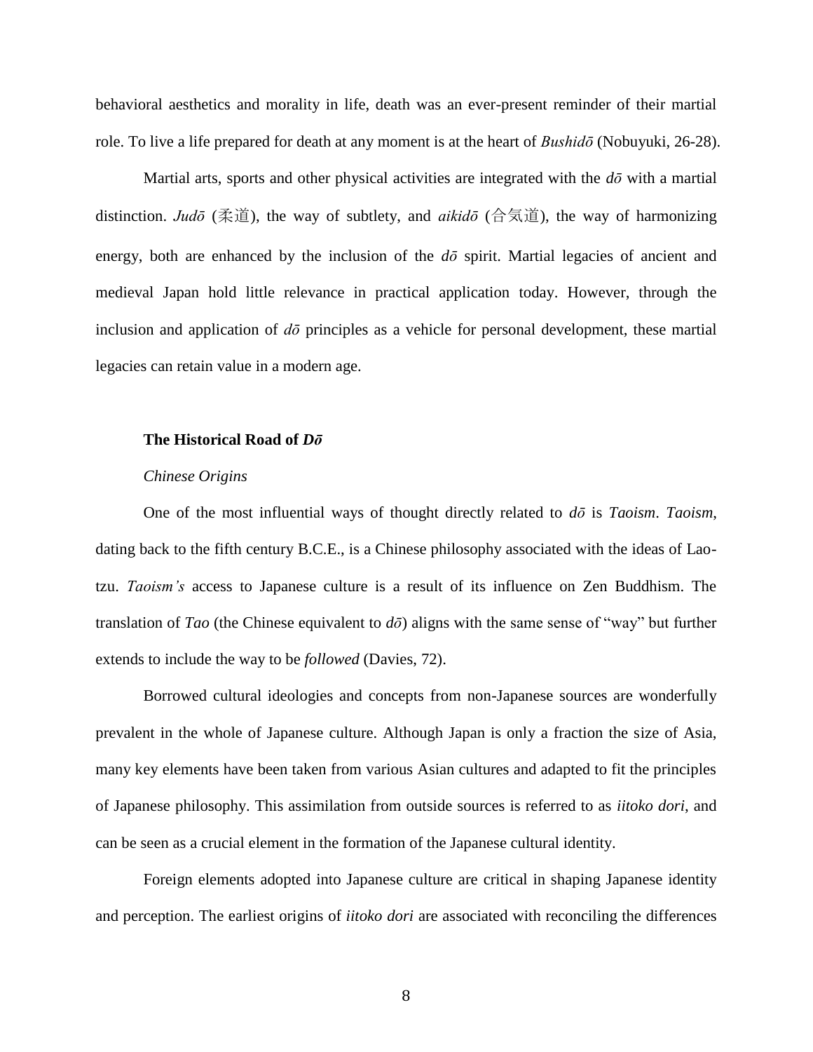behavioral aesthetics and morality in life, death was an ever-present reminder of their martial role. To live a life prepared for death at any moment is at the heart of *Bushidō* (Nobuyuki, 26-28).

Martial arts, sports and other physical activities are integrated with the *dō* with a martial distinction. *Judō* (柔道), the way of subtlety, and *aikidō* (合気道), the way of harmonizing energy, both are enhanced by the inclusion of the  $d\bar{o}$  spirit. Martial legacies of ancient and medieval Japan hold little relevance in practical application today. However, through the inclusion and application of *dō* principles as a vehicle for personal development, these martial legacies can retain value in a modern age.

### **The Historical Road of** *Dō*

#### *Chinese Origins*

One of the most influential ways of thought directly related to *dō* is *Taoism*. *Taoism*, dating back to the fifth century B.C.E., is a Chinese philosophy associated with the ideas of Laotzu. *Taoism's* access to Japanese culture is a result of its influence on Zen Buddhism. The translation of *Tao* (the Chinese equivalent to *dō*) aligns with the same sense of "way" but further extends to include the way to be *followed* (Davies, 72).

Borrowed cultural ideologies and concepts from non-Japanese sources are wonderfully prevalent in the whole of Japanese culture. Although Japan is only a fraction the size of Asia, many key elements have been taken from various Asian cultures and adapted to fit the principles of Japanese philosophy. This assimilation from outside sources is referred to as *iitoko dori*, and can be seen as a crucial element in the formation of the Japanese cultural identity.

Foreign elements adopted into Japanese culture are critical in shaping Japanese identity and perception. The earliest origins of *iitoko dori* are associated with reconciling the differences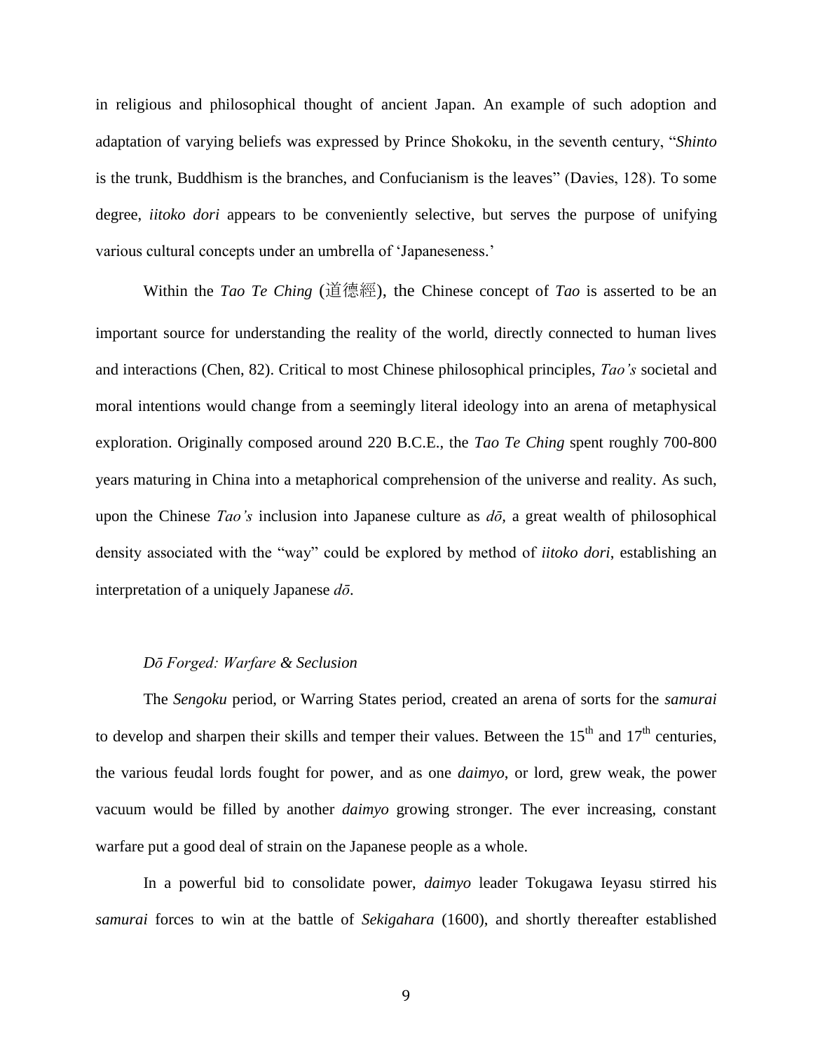in religious and philosophical thought of ancient Japan. An example of such adoption and adaptation of varying beliefs was expressed by Prince Shokoku, in the seventh century, "*Shinto* is the trunk, Buddhism is the branches, and Confucianism is the leaves" (Davies, 128). To some degree, *iitoko dori* appears to be conveniently selective, but serves the purpose of unifying various cultural concepts under an umbrella of 'Japaneseness.'

Within the *Tao Te Ching* (道德經), the Chinese concept of *Tao* is asserted to be an important source for understanding the reality of the world, directly connected to human lives and interactions (Chen, 82). Critical to most Chinese philosophical principles, *Tao's* societal and moral intentions would change from a seemingly literal ideology into an arena of metaphysical exploration. Originally composed around 220 B.C.E., the *Tao Te Ching* spent roughly 700-800 years maturing in China into a metaphorical comprehension of the universe and reality. As such, upon the Chinese *Tao's* inclusion into Japanese culture as *dō,* a great wealth of philosophical density associated with the "way" could be explored by method of *iitoko dori*, establishing an interpretation of a uniquely Japanese *dō*.

### *Dō Forged: Warfare & Seclusion*

The *Sengoku* period, or Warring States period, created an arena of sorts for the *samurai* to develop and sharpen their skills and temper their values. Between the  $15<sup>th</sup>$  and  $17<sup>th</sup>$  centuries, the various feudal lords fought for power, and as one *daimyo*, or lord, grew weak, the power vacuum would be filled by another *daimyo* growing stronger. The ever increasing, constant warfare put a good deal of strain on the Japanese people as a whole.

In a powerful bid to consolidate power, *daimyo* leader Tokugawa Ieyasu stirred his *samurai* forces to win at the battle of *Sekigahara* (1600), and shortly thereafter established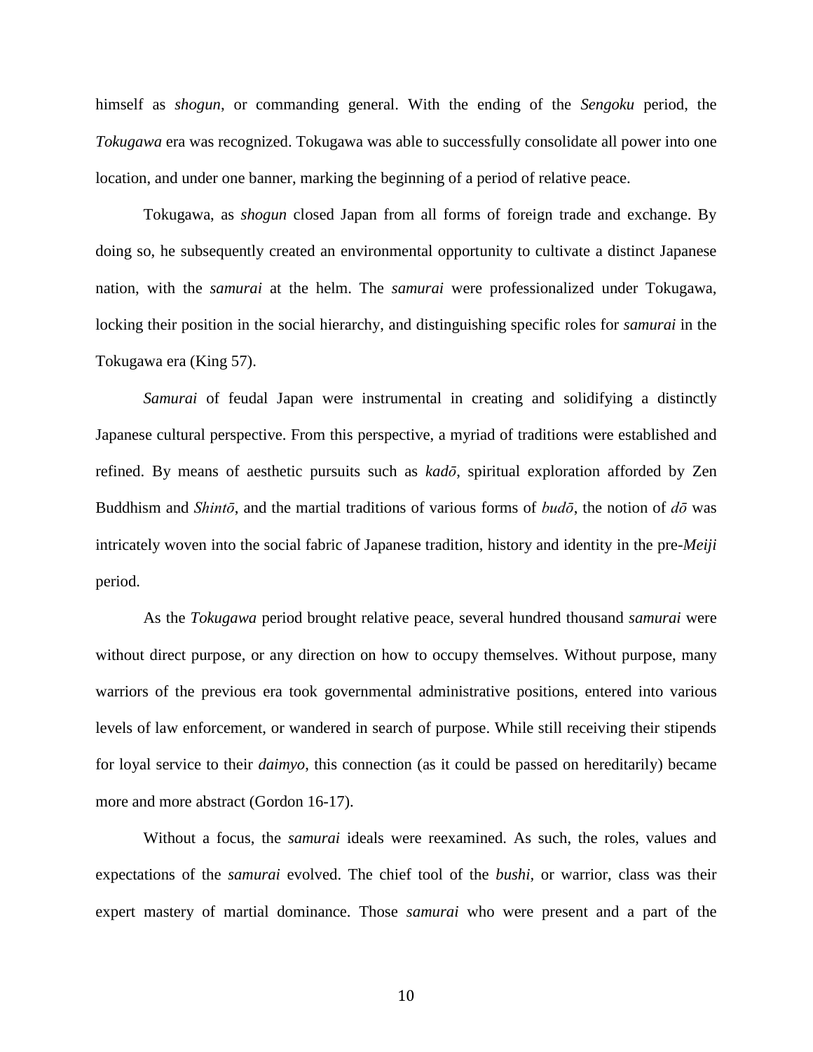himself as *shogun*, or commanding general. With the ending of the *Sengoku* period, the *Tokugawa* era was recognized. Tokugawa was able to successfully consolidate all power into one location, and under one banner, marking the beginning of a period of relative peace.

Tokugawa, as *shogun* closed Japan from all forms of foreign trade and exchange. By doing so, he subsequently created an environmental opportunity to cultivate a distinct Japanese nation, with the *samurai* at the helm. The *samurai* were professionalized under Tokugawa, locking their position in the social hierarchy, and distinguishing specific roles for *samurai* in the Tokugawa era (King 57).

*Samurai* of feudal Japan were instrumental in creating and solidifying a distinctly Japanese cultural perspective. From this perspective, a myriad of traditions were established and refined. By means of aesthetic pursuits such as *kadō*, spiritual exploration afforded by Zen Buddhism and *Shintō*, and the martial traditions of various forms of *budō*, the notion of *dō* was intricately woven into the social fabric of Japanese tradition, history and identity in the pre-*Meiji* period.

As the *Tokugawa* period brought relative peace, several hundred thousand *samurai* were without direct purpose, or any direction on how to occupy themselves. Without purpose, many warriors of the previous era took governmental administrative positions, entered into various levels of law enforcement, or wandered in search of purpose. While still receiving their stipends for loyal service to their *daimyo*, this connection (as it could be passed on hereditarily) became more and more abstract (Gordon 16-17).

Without a focus, the *samurai* ideals were reexamined. As such, the roles, values and expectations of the *samurai* evolved. The chief tool of the *bushi,* or warrior, class was their expert mastery of martial dominance. Those *samurai* who were present and a part of the

10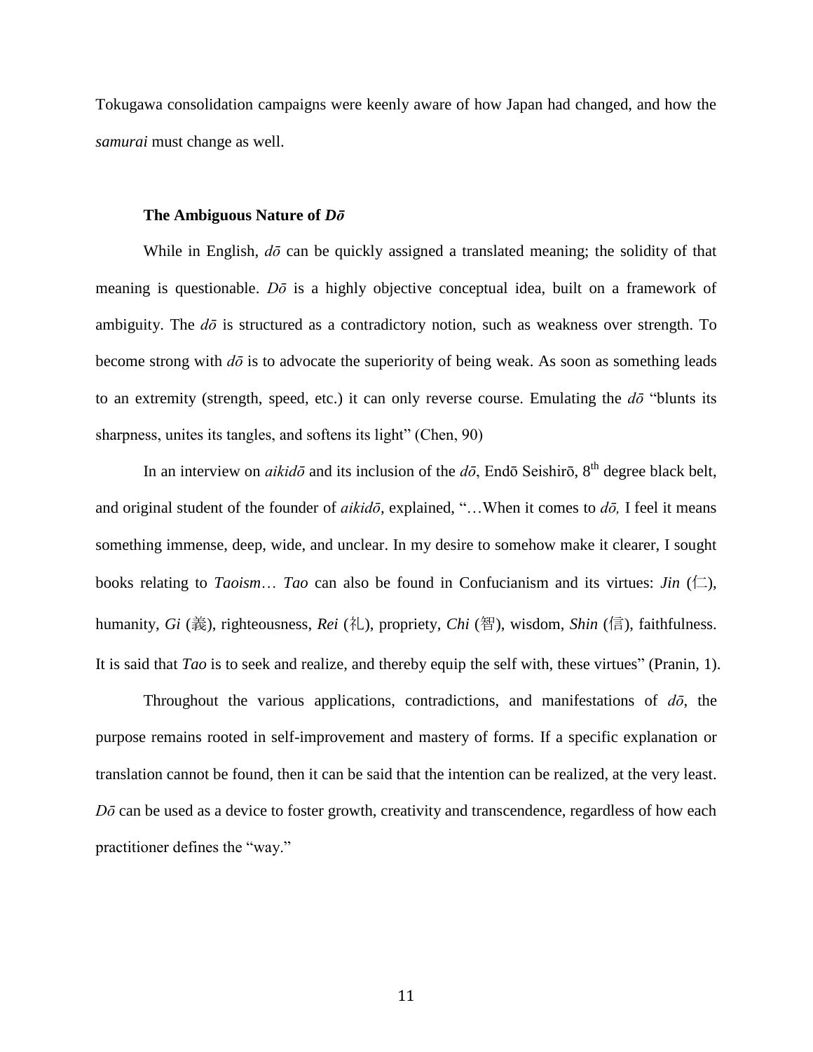Tokugawa consolidation campaigns were keenly aware of how Japan had changed, and how the *samurai* must change as well.

### **The Ambiguous Nature of** *Dō*

While in English,  $d\bar{\sigma}$  can be quickly assigned a translated meaning; the solidity of that meaning is questionable. *Dō* is a highly objective conceptual idea, built on a framework of ambiguity. The *dō* is structured as a contradictory notion, such as weakness over strength. To become strong with  $d\bar{o}$  is to advocate the superiority of being weak. As soon as something leads to an extremity (strength, speed, etc.) it can only reverse course. Emulating the *dō* "blunts its sharpness, unites its tangles, and softens its light" (Chen, 90)

In an interview on *aikidō* and its inclusion of the  $d\bar{o}$ , Endō Seishirō, 8<sup>th</sup> degree black belt, and original student of the founder of *aikidō*, explained, "…When it comes to *dō,* I feel it means something immense, deep, wide, and unclear. In my desire to somehow make it clearer, I sought books relating to *Taoism*... *Tao* can also be found in Confucianism and its virtues: *Jin*  $(\Box)$ , humanity, *Gi* (義), righteousness, *Rei* (礼), propriety, *Chi* (智), wisdom, *Shin* (信), faithfulness. It is said that *Tao* is to seek and realize, and thereby equip the self with, these virtues" (Pranin, 1).

Throughout the various applications, contradictions, and manifestations of *dō*, the purpose remains rooted in self-improvement and mastery of forms. If a specific explanation or translation cannot be found, then it can be said that the intention can be realized, at the very least. *Dō* can be used as a device to foster growth, creativity and transcendence, regardless of how each practitioner defines the "way."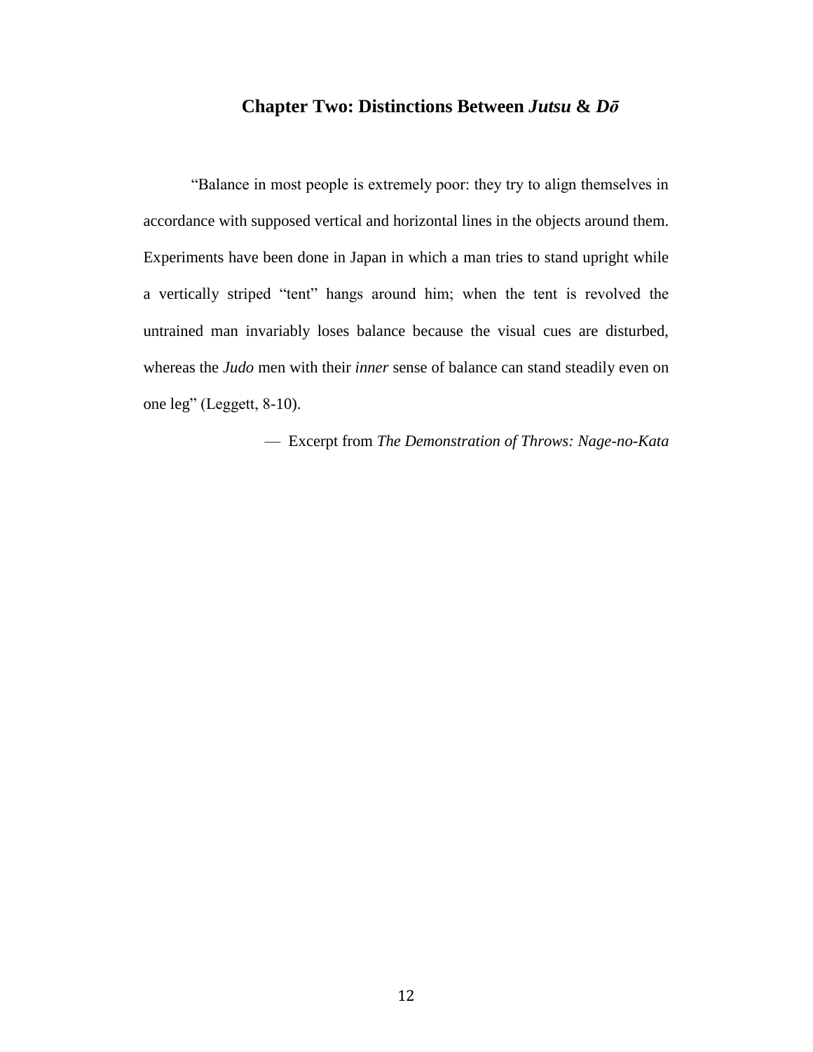# **Chapter Two: Distinctions Between** *Jutsu* **&** *Dō*

"Balance in most people is extremely poor: they try to align themselves in accordance with supposed vertical and horizontal lines in the objects around them. Experiments have been done in Japan in which a man tries to stand upright while a vertically striped "tent" hangs around him; when the tent is revolved the untrained man invariably loses balance because the visual cues are disturbed, whereas the *Judo* men with their *inner* sense of balance can stand steadily even on one leg" (Leggett, 8-10).

— Excerpt from *The Demonstration of Throws: Nage-no-Kata*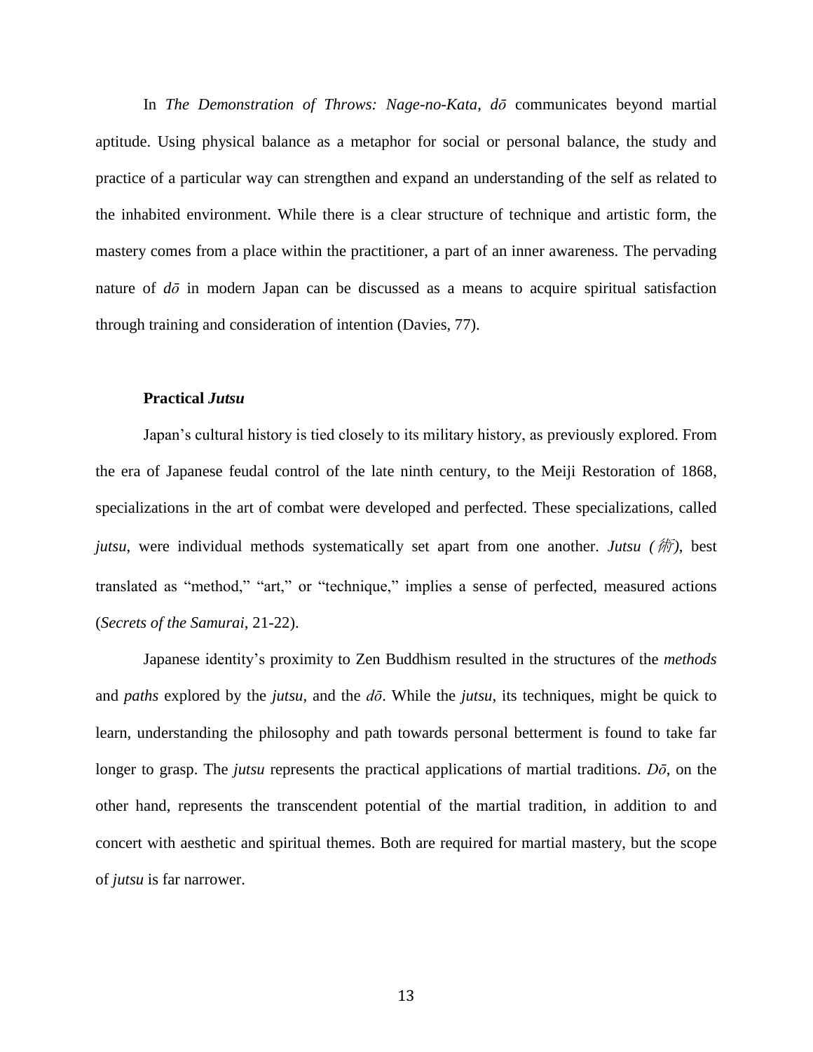In *The Demonstration of Throws: Nage-no-Kata*, *dō* communicates beyond martial aptitude. Using physical balance as a metaphor for social or personal balance, the study and practice of a particular way can strengthen and expand an understanding of the self as related to the inhabited environment. While there is a clear structure of technique and artistic form, the mastery comes from a place within the practitioner, a part of an inner awareness. The pervading nature of *dō* in modern Japan can be discussed as a means to acquire spiritual satisfaction through training and consideration of intention (Davies, 77).

## **Practical** *Jutsu*

Japan's cultural history is tied closely to its military history, as previously explored. From the era of Japanese feudal control of the late ninth century, to the Meiji Restoration of 1868, specializations in the art of combat were developed and perfected. These specializations, called *jutsu*, were individual methods systematically set apart from one another. *Jutsu (*術*)*, best translated as "method," "art," or "technique," implies a sense of perfected, measured actions (*Secrets of the Samurai*, 21-22).

Japanese identity's proximity to Zen Buddhism resulted in the structures of the *methods* and *paths* explored by the *jutsu*, and the *dō*. While the *jutsu*, its techniques, might be quick to learn, understanding the philosophy and path towards personal betterment is found to take far longer to grasp. The *jutsu* represents the practical applications of martial traditions. *Dō*, on the other hand, represents the transcendent potential of the martial tradition, in addition to and concert with aesthetic and spiritual themes. Both are required for martial mastery, but the scope of *jutsu* is far narrower.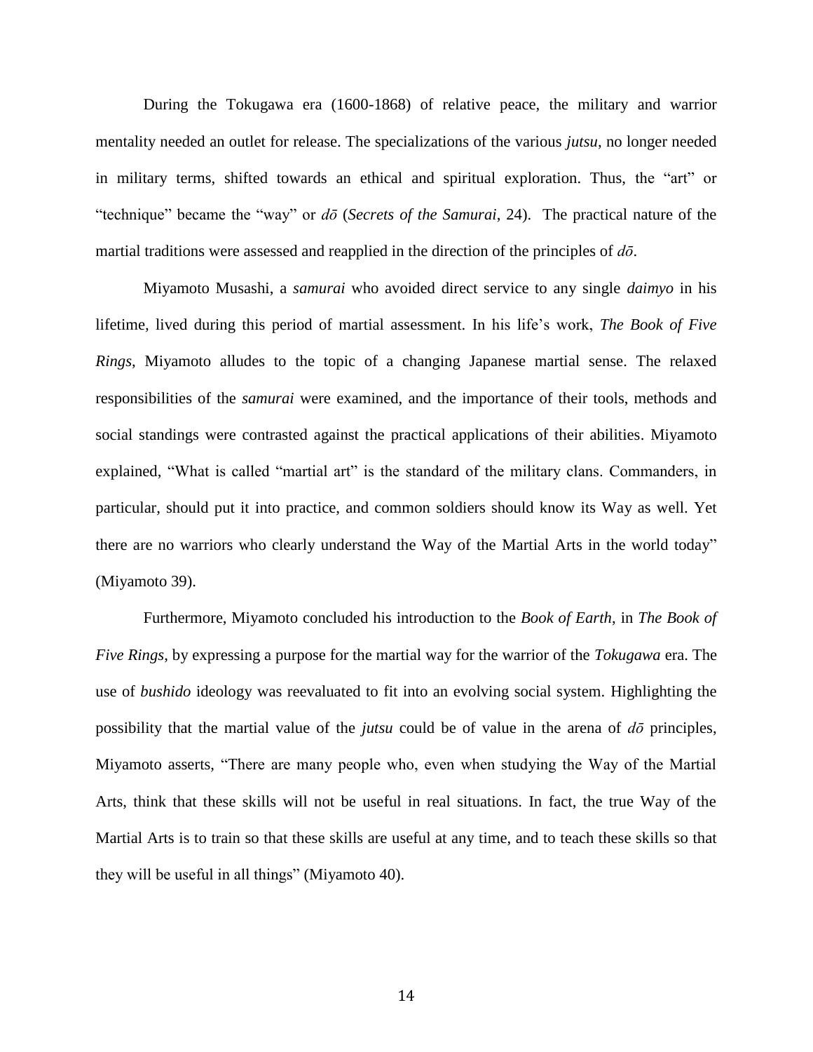During the Tokugawa era (1600-1868) of relative peace, the military and warrior mentality needed an outlet for release. The specializations of the various *jutsu*, no longer needed in military terms, shifted towards an ethical and spiritual exploration. Thus, the "art" or "technique" became the "way" or *dō* (*Secrets of the Samurai*, 24). The practical nature of the martial traditions were assessed and reapplied in the direction of the principles of *dō*.

Miyamoto Musashi, a *samurai* who avoided direct service to any single *daimyo* in his lifetime*,* lived during this period of martial assessment. In his life's work, *The Book of Five Rings*, Miyamoto alludes to the topic of a changing Japanese martial sense. The relaxed responsibilities of the *samurai* were examined, and the importance of their tools, methods and social standings were contrasted against the practical applications of their abilities. Miyamoto explained, "What is called "martial art" is the standard of the military clans. Commanders, in particular, should put it into practice, and common soldiers should know its Way as well. Yet there are no warriors who clearly understand the Way of the Martial Arts in the world today" (Miyamoto 39).

Furthermore, Miyamoto concluded his introduction to the *Book of Earth*, in *The Book of Five Rings*, by expressing a purpose for the martial way for the warrior of the *Tokugawa* era. The use of *bushido* ideology was reevaluated to fit into an evolving social system. Highlighting the possibility that the martial value of the *jutsu* could be of value in the arena of *dō* principles, Miyamoto asserts, "There are many people who, even when studying the Way of the Martial Arts, think that these skills will not be useful in real situations. In fact, the true Way of the Martial Arts is to train so that these skills are useful at any time, and to teach these skills so that they will be useful in all things" (Miyamoto 40).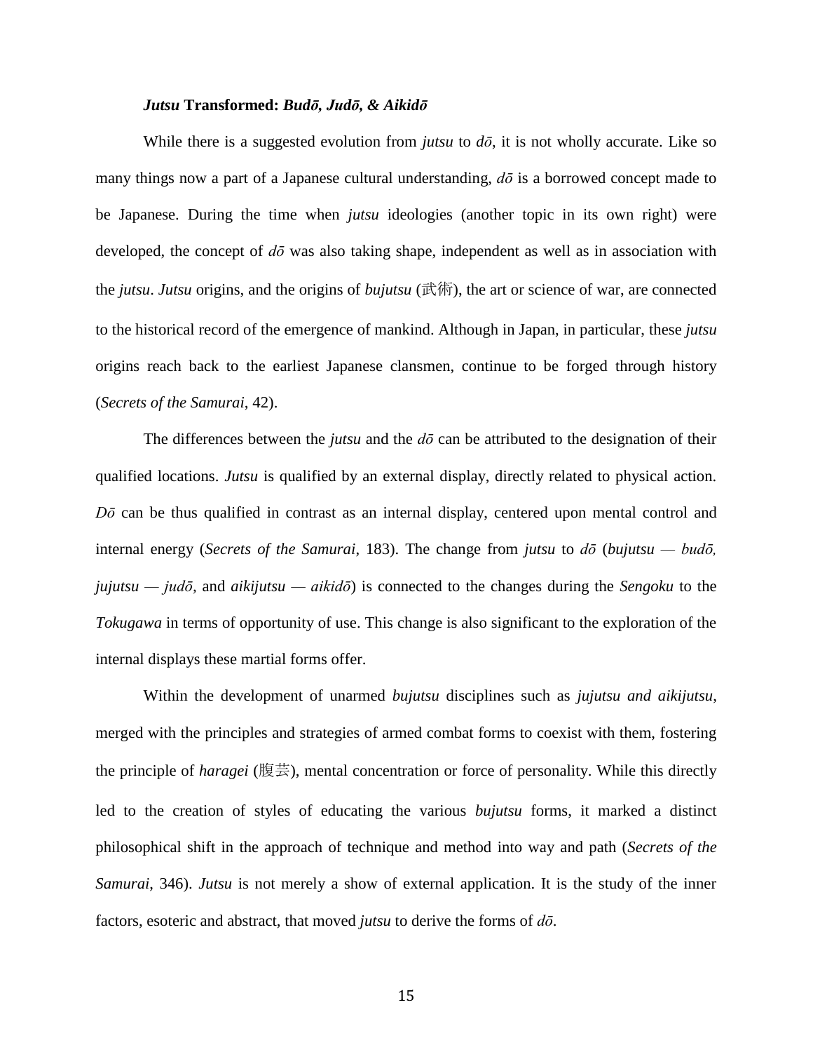### *Jutsu* **Transformed:** *Budō, Judō, & Aikidō*

While there is a suggested evolution from *jutsu* to *dō*, it is not wholly accurate. Like so many things now a part of a Japanese cultural understanding, *dō* is a borrowed concept made to be Japanese. During the time when *jutsu* ideologies (another topic in its own right) were developed, the concept of *dō* was also taking shape, independent as well as in association with the *jutsu*. *Jutsu* origins, and the origins of *bujutsu* (武術), the art or science of war, are connected to the historical record of the emergence of mankind. Although in Japan, in particular, these *jutsu* origins reach back to the earliest Japanese clansmen, continue to be forged through history (*Secrets of the Samurai*, 42).

The differences between the *jutsu* and the *dō* can be attributed to the designation of their qualified locations. *Jutsu* is qualified by an external display, directly related to physical action. *Dō* can be thus qualified in contrast as an internal display, centered upon mental control and internal energy (*Secrets of the Samurai*, 183). The change from *jutsu* to *dō* (*bujutsu — budō, jujutsu — judō,* and *aikijutsu — aikidō*) is connected to the changes during the *Sengoku* to the *Tokugawa* in terms of opportunity of use. This change is also significant to the exploration of the internal displays these martial forms offer.

Within the development of unarmed *bujutsu* disciplines such as *jujutsu and aikijutsu*, merged with the principles and strategies of armed combat forms to coexist with them, fostering the principle of *haragei* (腹芸), mental concentration or force of personality. While this directly led to the creation of styles of educating the various *bujutsu* forms, it marked a distinct philosophical shift in the approach of technique and method into way and path (*Secrets of the Samurai*, 346). *Jutsu* is not merely a show of external application. It is the study of the inner factors, esoteric and abstract, that moved *jutsu* to derive the forms of *dō*.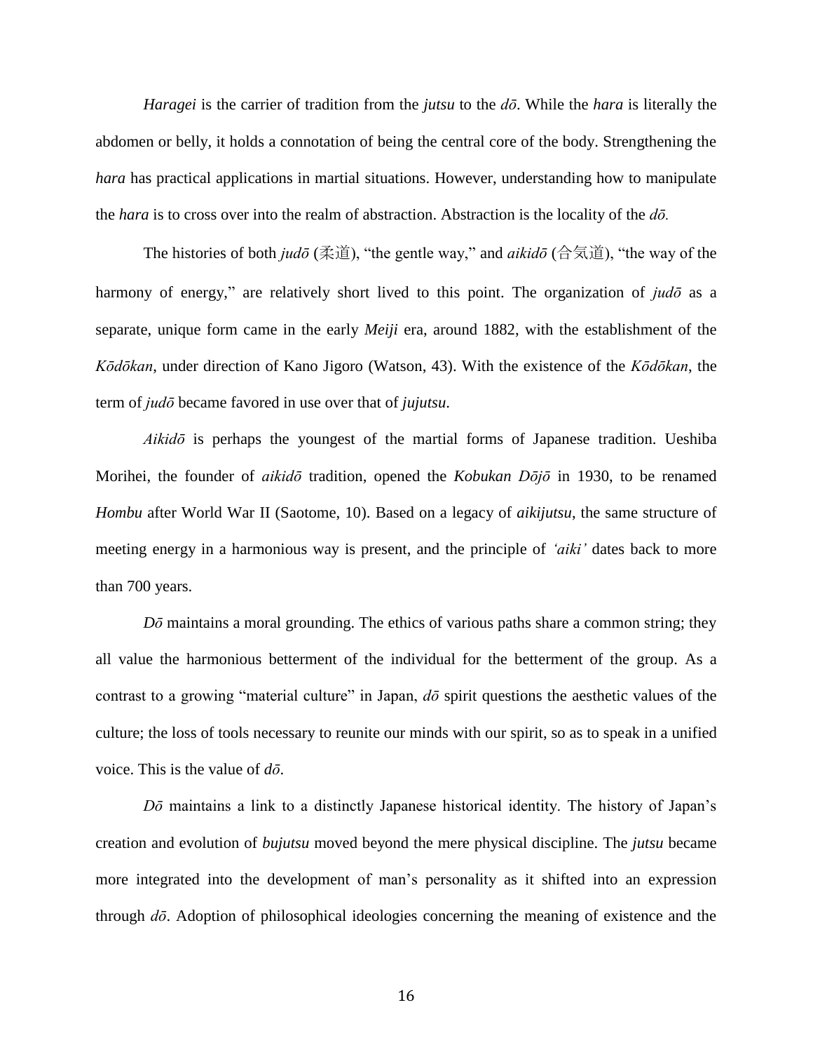*Haragei* is the carrier of tradition from the *jutsu* to the *dō*. While the *hara* is literally the abdomen or belly, it holds a connotation of being the central core of the body. Strengthening the *hara* has practical applications in martial situations. However, understanding how to manipulate the *hara* is to cross over into the realm of abstraction. Abstraction is the locality of the *dō.*

The histories of both *judō* (柔道), "the gentle way," and *aikidō* (合気道), "the way of the harmony of energy," are relatively short lived to this point. The organization of *judō* as a separate, unique form came in the early *Meiji* era, around 1882, with the establishment of the *Kōdōkan*, under direction of Kano Jigoro (Watson, 43). With the existence of the *Kōdōkan*, the term of *judō* became favored in use over that of *jujutsu*.

*Aikidō* is perhaps the youngest of the martial forms of Japanese tradition. Ueshiba Morihei, the founder of *aikidō* tradition, opened the *Kobukan Dōjō* in 1930, to be renamed *Hombu* after World War II (Saotome, 10). Based on a legacy of *aikijutsu*, the same structure of meeting energy in a harmonious way is present, and the principle of *'aiki'* dates back to more than 700 years.

*Dō* maintains a moral grounding. The ethics of various paths share a common string; they all value the harmonious betterment of the individual for the betterment of the group. As a contrast to a growing "material culture" in Japan, *dō* spirit questions the aesthetic values of the culture; the loss of tools necessary to reunite our minds with our spirit, so as to speak in a unified voice. This is the value of *dō*.

*Dō* maintains a link to a distinctly Japanese historical identity. The history of Japan's creation and evolution of *bujutsu* moved beyond the mere physical discipline. The *jutsu* became more integrated into the development of man's personality as it shifted into an expression through *dō*. Adoption of philosophical ideologies concerning the meaning of existence and the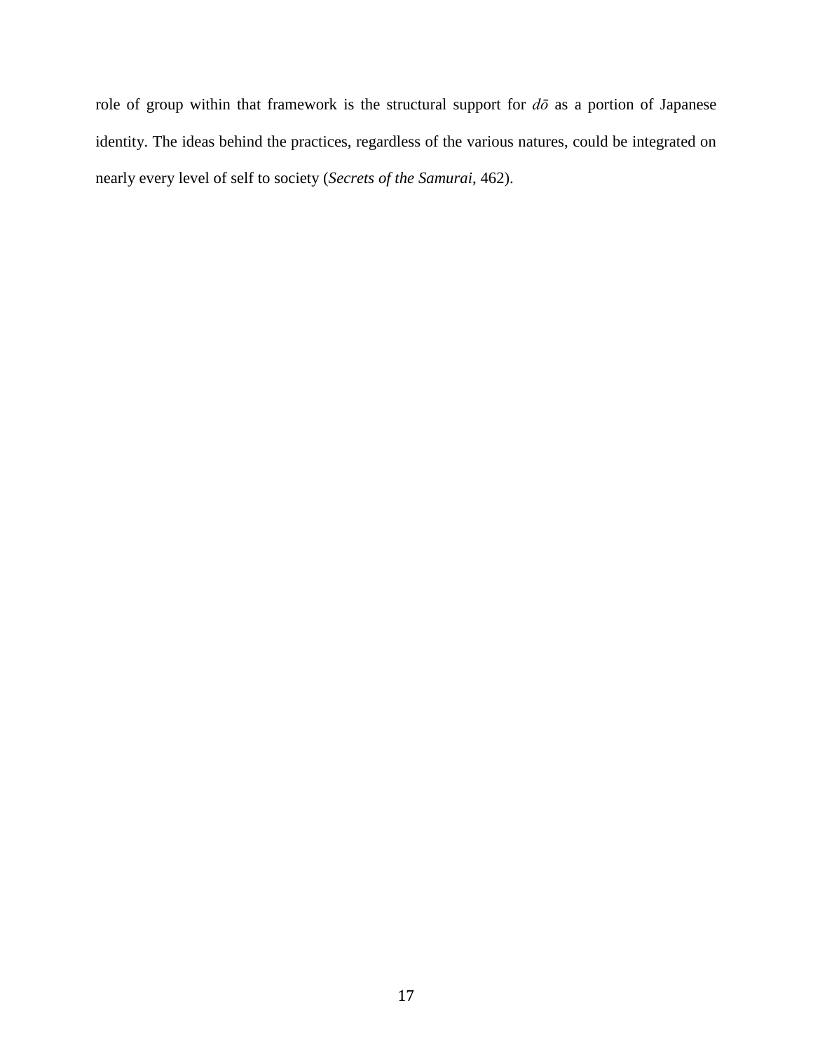role of group within that framework is the structural support for *dō* as a portion of Japanese identity. The ideas behind the practices, regardless of the various natures, could be integrated on nearly every level of self to society (*Secrets of the Samurai*, 462).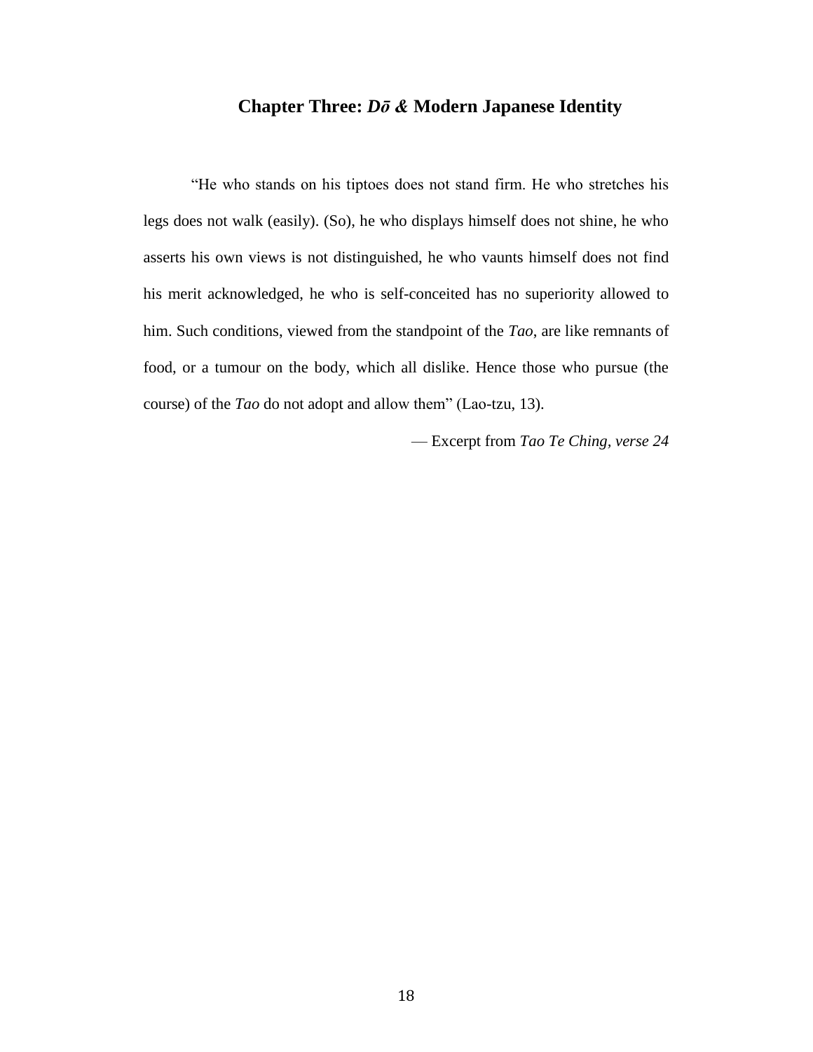# **Chapter Three:** *Dō &* **Modern Japanese Identity**

"He who stands on his tiptoes does not stand firm. He who stretches his legs does not walk (easily). (So), he who displays himself does not shine, he who asserts his own views is not distinguished, he who vaunts himself does not find his merit acknowledged, he who is self-conceited has no superiority allowed to him. Such conditions, viewed from the standpoint of the *Tao*, are like remnants of food, or a tumour on the body, which all dislike. Hence those who pursue (the course) of the *Tao* do not adopt and allow them" (Lao-tzu, 13).

— Excerpt from *Tao Te Ching, verse 24*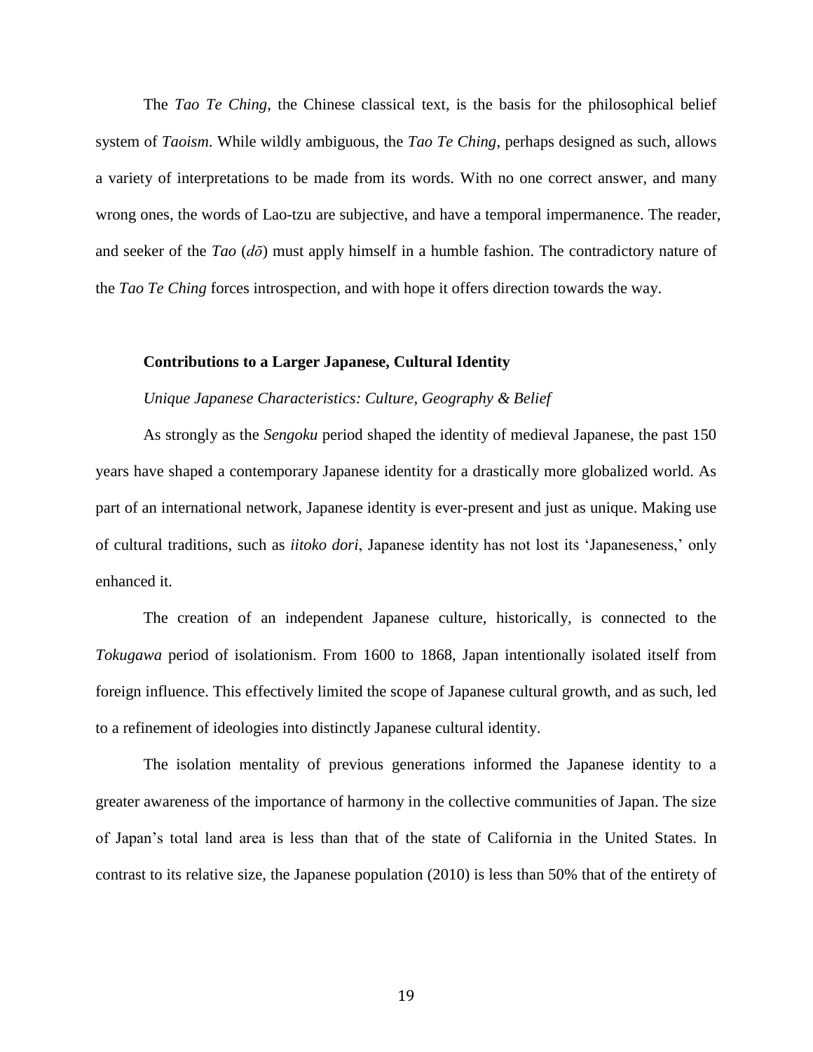The *Tao Te Ching*, the Chinese classical text, is the basis for the philosophical belief system of *Taoism*. While wildly ambiguous, the *Tao Te Ching*, perhaps designed as such, allows a variety of interpretations to be made from its words. With no one correct answer, and many wrong ones, the words of Lao-tzu are subjective, and have a temporal impermanence. The reader, and seeker of the *Tao* (*dō*) must apply himself in a humble fashion. The contradictory nature of the *Tao Te Ching* forces introspection, and with hope it offers direction towards the way.

#### **Contributions to a Larger Japanese, Cultural Identity**

### *Unique Japanese Characteristics: Culture, Geography & Belief*

As strongly as the *Sengoku* period shaped the identity of medieval Japanese, the past 150 years have shaped a contemporary Japanese identity for a drastically more globalized world. As part of an international network, Japanese identity is ever-present and just as unique. Making use of cultural traditions, such as *iitoko dori*, Japanese identity has not lost its 'Japaneseness,' only enhanced it.

The creation of an independent Japanese culture, historically, is connected to the *Tokugawa* period of isolationism. From 1600 to 1868, Japan intentionally isolated itself from foreign influence. This effectively limited the scope of Japanese cultural growth, and as such, led to a refinement of ideologies into distinctly Japanese cultural identity.

The isolation mentality of previous generations informed the Japanese identity to a greater awareness of the importance of harmony in the collective communities of Japan. The size of Japan's total land area is less than that of the state of California in the United States. In contrast to its relative size, the Japanese population (2010) is less than 50% that of the entirety of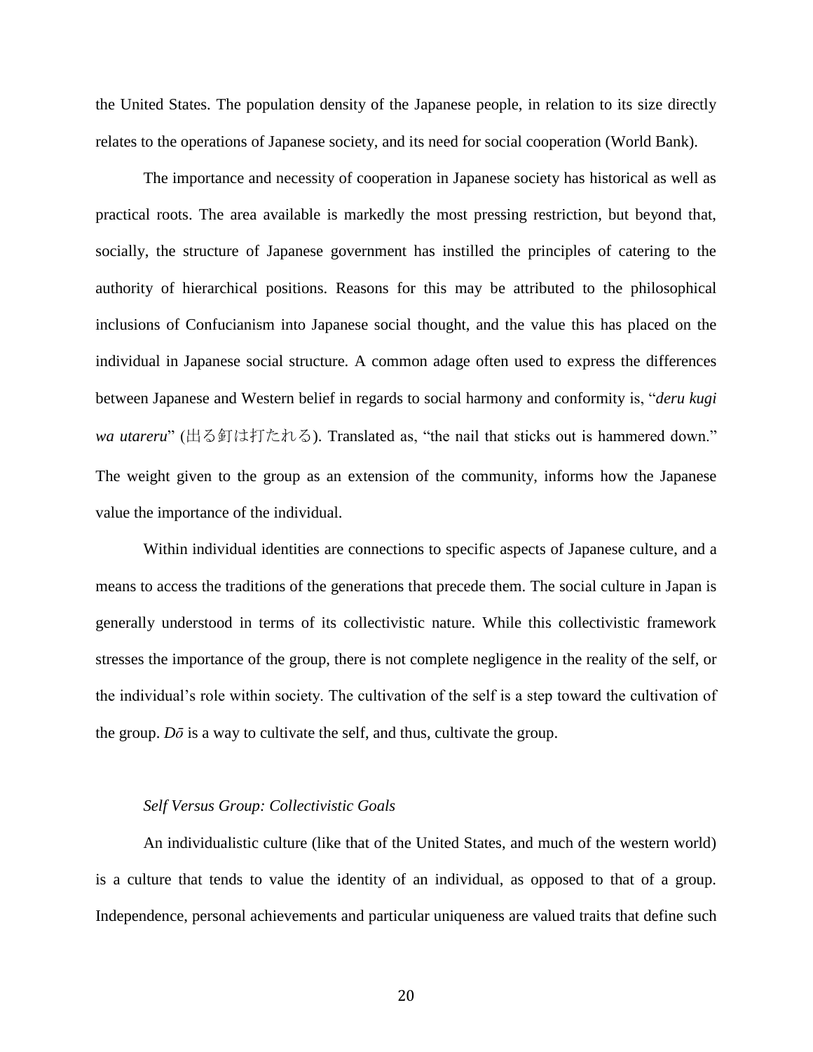the United States. The population density of the Japanese people, in relation to its size directly relates to the operations of Japanese society, and its need for social cooperation (World Bank).

The importance and necessity of cooperation in Japanese society has historical as well as practical roots. The area available is markedly the most pressing restriction, but beyond that, socially, the structure of Japanese government has instilled the principles of catering to the authority of hierarchical positions. Reasons for this may be attributed to the philosophical inclusions of Confucianism into Japanese social thought, and the value this has placed on the individual in Japanese social structure. A common adage often used to express the differences between Japanese and Western belief in regards to social harmony and conformity is, "*deru kugi wa utareru*" (出る釘は打たれる). Translated as, "the nail that sticks out is hammered down." The weight given to the group as an extension of the community, informs how the Japanese value the importance of the individual.

Within individual identities are connections to specific aspects of Japanese culture, and a means to access the traditions of the generations that precede them. The social culture in Japan is generally understood in terms of its collectivistic nature. While this collectivistic framework stresses the importance of the group, there is not complete negligence in the reality of the self, or the individual's role within society. The cultivation of the self is a step toward the cultivation of the group.  $D\bar{o}$  is a way to cultivate the self, and thus, cultivate the group.

### *Self Versus Group: Collectivistic Goals*

An individualistic culture (like that of the United States, and much of the western world) is a culture that tends to value the identity of an individual, as opposed to that of a group. Independence, personal achievements and particular uniqueness are valued traits that define such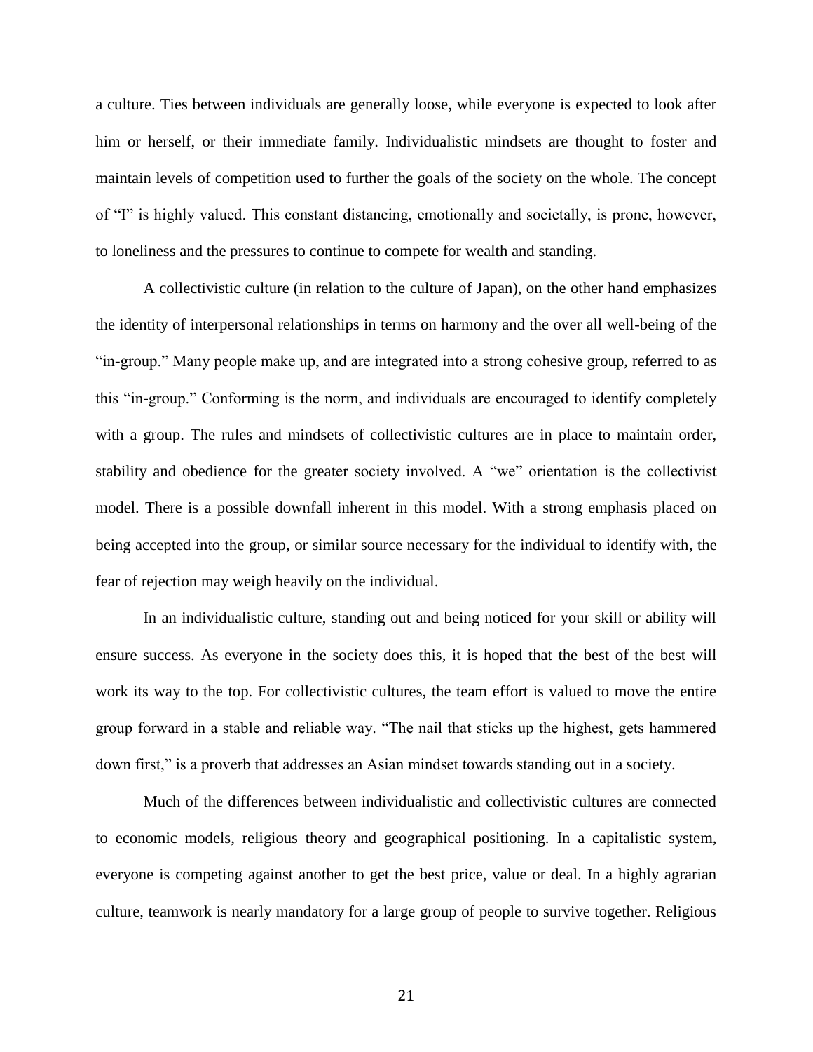a culture. Ties between individuals are generally loose, while everyone is expected to look after him or herself, or their immediate family. Individualistic mindsets are thought to foster and maintain levels of competition used to further the goals of the society on the whole. The concept of "I" is highly valued. This constant distancing, emotionally and societally, is prone, however, to loneliness and the pressures to continue to compete for wealth and standing.

A collectivistic culture (in relation to the culture of Japan), on the other hand emphasizes the identity of interpersonal relationships in terms on harmony and the over all well-being of the "in-group." Many people make up, and are integrated into a strong cohesive group, referred to as this "in-group." Conforming is the norm, and individuals are encouraged to identify completely with a group. The rules and mindsets of collectivistic cultures are in place to maintain order, stability and obedience for the greater society involved. A "we" orientation is the collectivist model. There is a possible downfall inherent in this model. With a strong emphasis placed on being accepted into the group, or similar source necessary for the individual to identify with, the fear of rejection may weigh heavily on the individual.

In an individualistic culture, standing out and being noticed for your skill or ability will ensure success. As everyone in the society does this, it is hoped that the best of the best will work its way to the top. For collectivistic cultures, the team effort is valued to move the entire group forward in a stable and reliable way. "The nail that sticks up the highest, gets hammered down first," is a proverb that addresses an Asian mindset towards standing out in a society.

Much of the differences between individualistic and collectivistic cultures are connected to economic models, religious theory and geographical positioning. In a capitalistic system, everyone is competing against another to get the best price, value or deal. In a highly agrarian culture, teamwork is nearly mandatory for a large group of people to survive together. Religious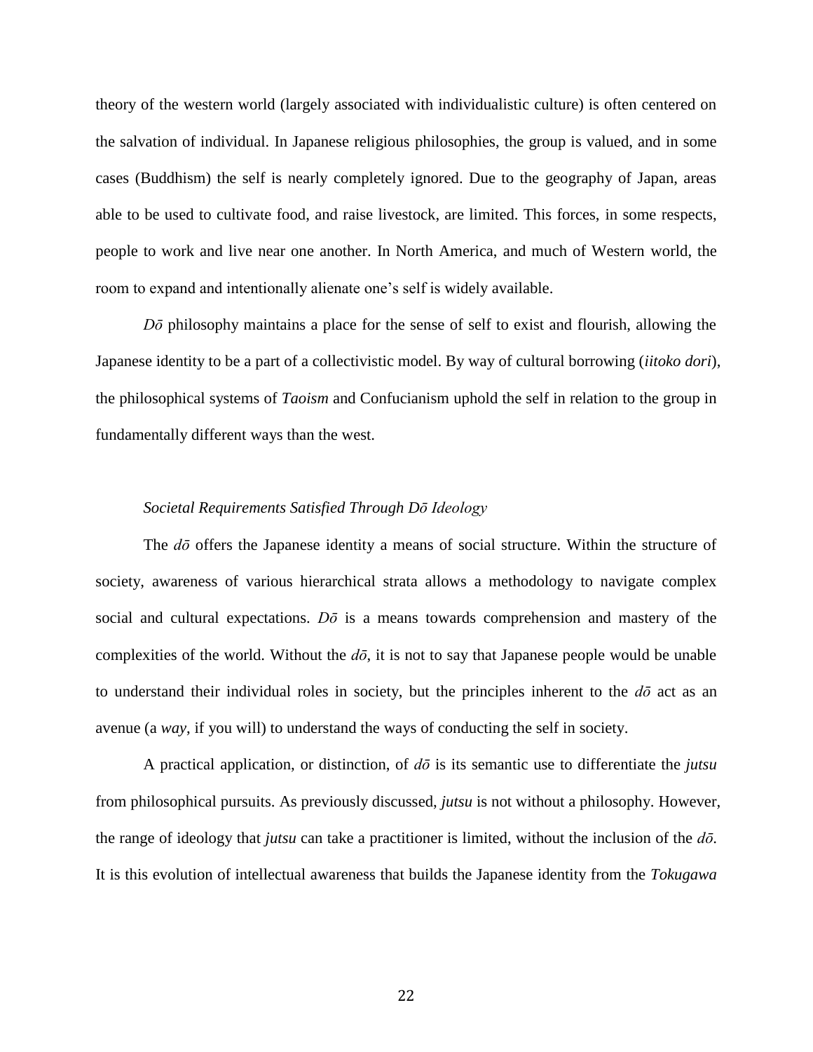theory of the western world (largely associated with individualistic culture) is often centered on the salvation of individual. In Japanese religious philosophies, the group is valued, and in some cases (Buddhism) the self is nearly completely ignored. Due to the geography of Japan, areas able to be used to cultivate food, and raise livestock, are limited. This forces, in some respects, people to work and live near one another. In North America, and much of Western world, the room to expand and intentionally alienate one's self is widely available.

*Dō* philosophy maintains a place for the sense of self to exist and flourish, allowing the Japanese identity to be a part of a collectivistic model. By way of cultural borrowing (*iitoko dori*), the philosophical systems of *Taoism* and Confucianism uphold the self in relation to the group in fundamentally different ways than the west.

### *Societal Requirements Satisfied Through Dō Ideology*

The *dō* offers the Japanese identity a means of social structure. Within the structure of society, awareness of various hierarchical strata allows a methodology to navigate complex social and cultural expectations. *Dō* is a means towards comprehension and mastery of the complexities of the world. Without the  $d\bar{o}$ , it is not to say that Japanese people would be unable to understand their individual roles in society, but the principles inherent to the  $d\bar{\sigma}$  act as an avenue (a *way*, if you will) to understand the ways of conducting the self in society.

A practical application, or distinction, of *dō* is its semantic use to differentiate the *jutsu* from philosophical pursuits. As previously discussed, *jutsu* is not without a philosophy. However, the range of ideology that *jutsu* can take a practitioner is limited, without the inclusion of the *dō*. It is this evolution of intellectual awareness that builds the Japanese identity from the *Tokugawa*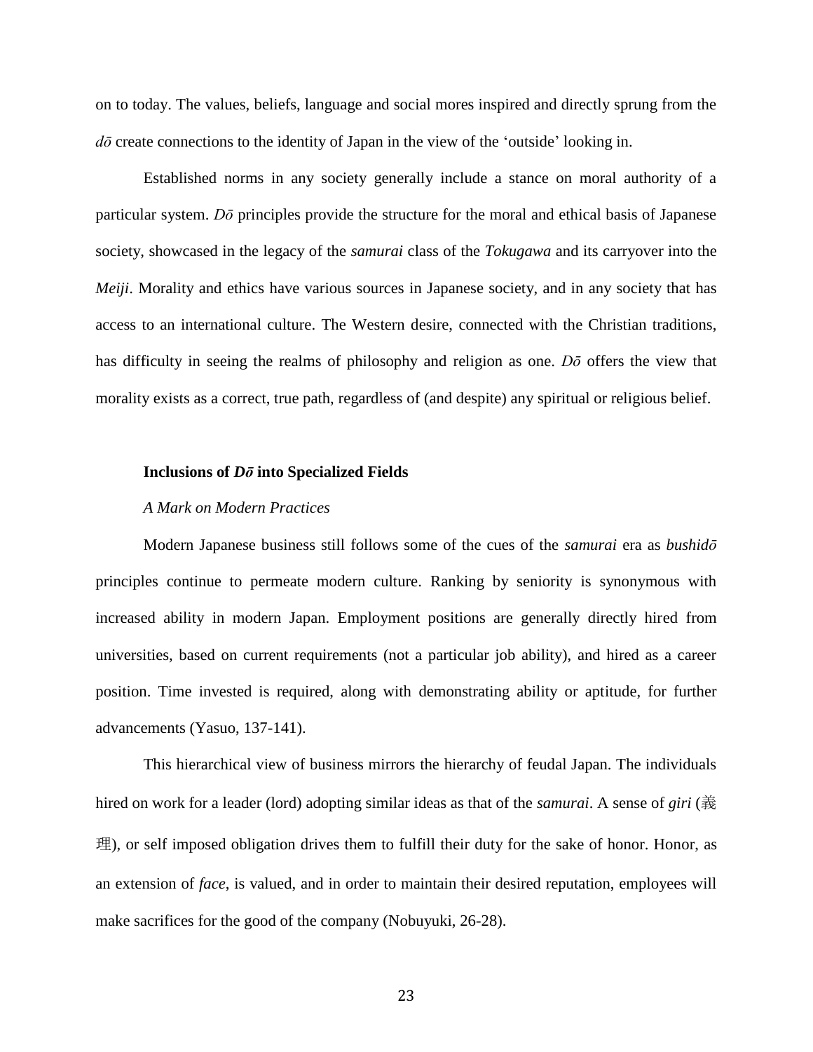on to today. The values, beliefs, language and social mores inspired and directly sprung from the *dō* create connections to the identity of Japan in the view of the 'outside' looking in.

Established norms in any society generally include a stance on moral authority of a particular system. *Dō* principles provide the structure for the moral and ethical basis of Japanese society, showcased in the legacy of the *samurai* class of the *Tokugawa* and its carryover into the *Meiji*. Morality and ethics have various sources in Japanese society, and in any society that has access to an international culture. The Western desire, connected with the Christian traditions, has difficulty in seeing the realms of philosophy and religion as one. *Dō* offers the view that morality exists as a correct, true path, regardless of (and despite) any spiritual or religious belief.

### **Inclusions of** *Dō* **into Specialized Fields**

### *A Mark on Modern Practices*

Modern Japanese business still follows some of the cues of the *samurai* era as *bushidō* principles continue to permeate modern culture. Ranking by seniority is synonymous with increased ability in modern Japan. Employment positions are generally directly hired from universities, based on current requirements (not a particular job ability), and hired as a career position. Time invested is required, along with demonstrating ability or aptitude, for further advancements (Yasuo, 137-141).

This hierarchical view of business mirrors the hierarchy of feudal Japan. The individuals hired on work for a leader (lord) adopting similar ideas as that of the *samurai*. A sense of *giri* (義 理), or self imposed obligation drives them to fulfill their duty for the sake of honor. Honor, as an extension of *face*, is valued, and in order to maintain their desired reputation, employees will make sacrifices for the good of the company (Nobuyuki, 26-28).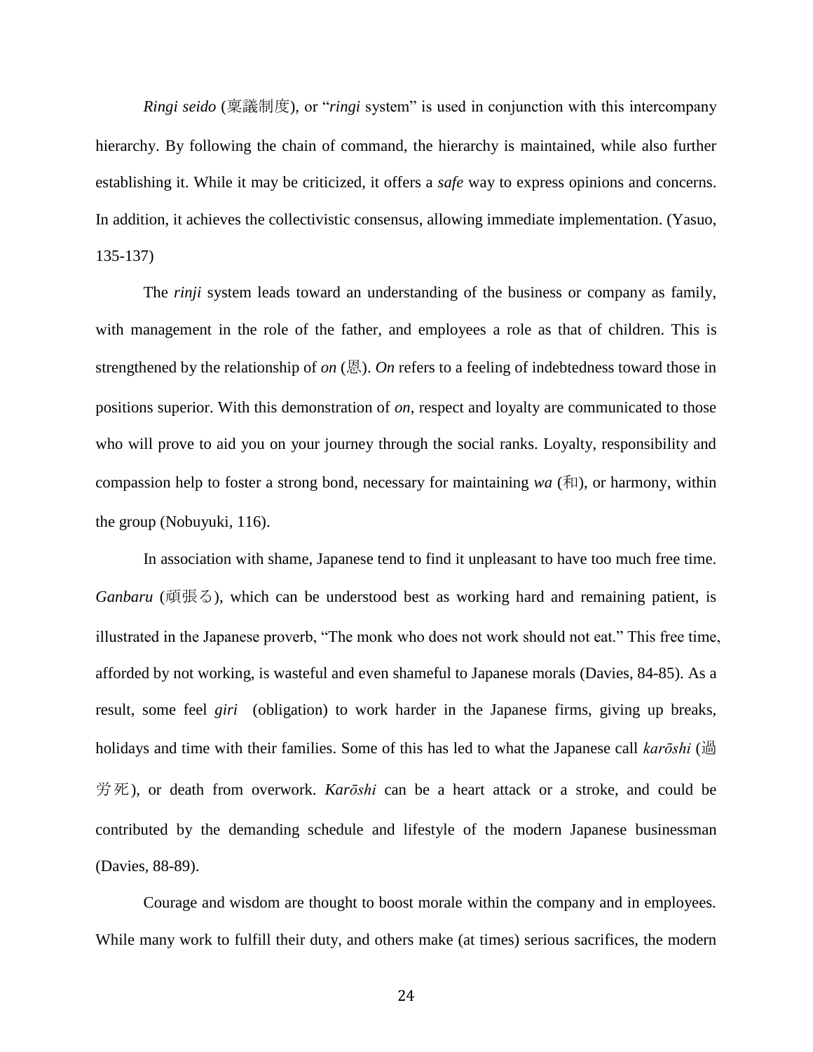*Ringi seido* (稟議制度), or "*ringi* system" is used in conjunction with this intercompany hierarchy. By following the chain of command, the hierarchy is maintained, while also further establishing it. While it may be criticized, it offers a *safe* way to express opinions and concerns. In addition, it achieves the collectivistic consensus, allowing immediate implementation. (Yasuo, 135-137)

The *rinji* system leads toward an understanding of the business or company as family, with management in the role of the father, and employees a role as that of children. This is strengthened by the relationship of *on* (恩). *On* refers to a feeling of indebtedness toward those in positions superior. With this demonstration of *on*, respect and loyalty are communicated to those who will prove to aid you on your journey through the social ranks. Loyalty, responsibility and compassion help to foster a strong bond, necessary for maintaining *wa*  $(\overline{\text{H}})$ , or harmony, within the group (Nobuyuki, 116).

In association with shame, Japanese tend to find it unpleasant to have too much free time. *Ganbaru* (頑張る), which can be understood best as working hard and remaining patient, is illustrated in the Japanese proverb, "The monk who does not work should not eat." This free time, afforded by not working, is wasteful and even shameful to Japanese morals (Davies, 84-85). As a result, some feel *giri* (obligation) to work harder in the Japanese firms, giving up breaks, holidays and time with their families. Some of this has led to what the Japanese call *karōshi* (過 労死), or death from overwork. *Karōshi* can be a heart attack or a stroke, and could be contributed by the demanding schedule and lifestyle of the modern Japanese businessman (Davies, 88-89).

Courage and wisdom are thought to boost morale within the company and in employees. While many work to fulfill their duty, and others make (at times) serious sacrifices, the modern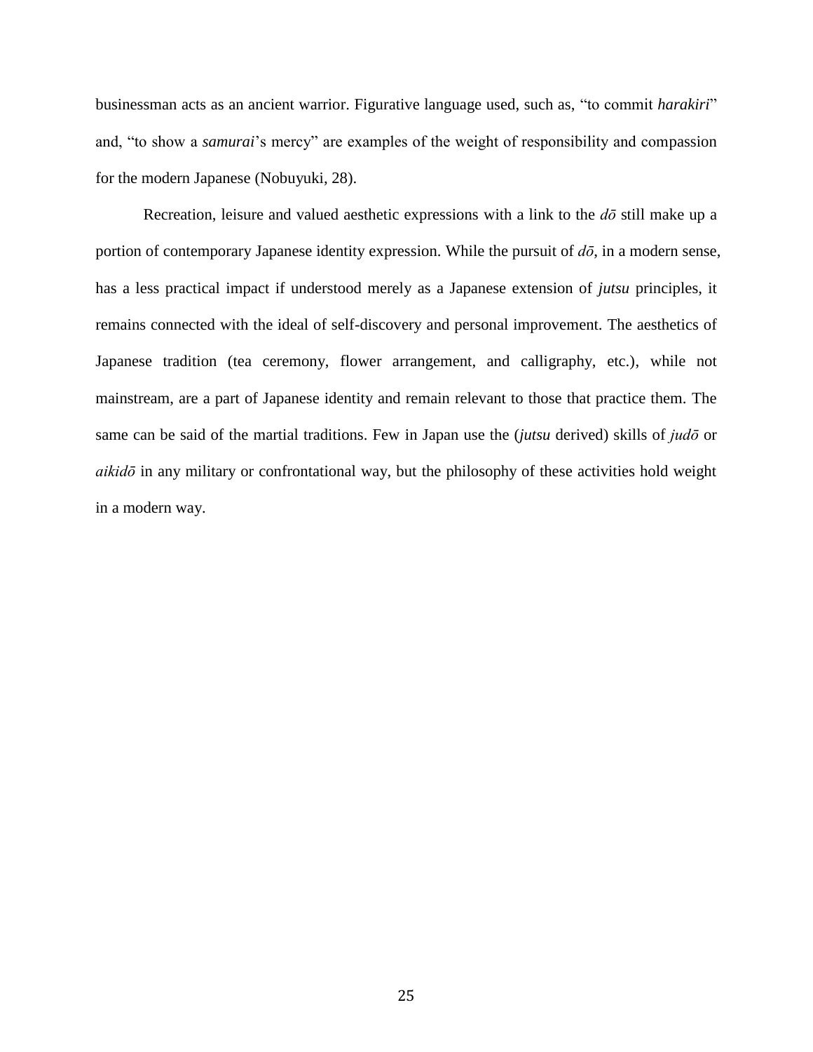businessman acts as an ancient warrior. Figurative language used, such as, "to commit *harakiri*" and, "to show a *samurai*'s mercy" are examples of the weight of responsibility and compassion for the modern Japanese (Nobuyuki, 28).

Recreation, leisure and valued aesthetic expressions with a link to the *dō* still make up a portion of contemporary Japanese identity expression. While the pursuit of *dō*, in a modern sense, has a less practical impact if understood merely as a Japanese extension of *jutsu* principles, it remains connected with the ideal of self-discovery and personal improvement. The aesthetics of Japanese tradition (tea ceremony, flower arrangement, and calligraphy, etc.), while not mainstream, are a part of Japanese identity and remain relevant to those that practice them. The same can be said of the martial traditions. Few in Japan use the (*jutsu* derived) skills of *judō* or *aikidō* in any military or confrontational way, but the philosophy of these activities hold weight in a modern way.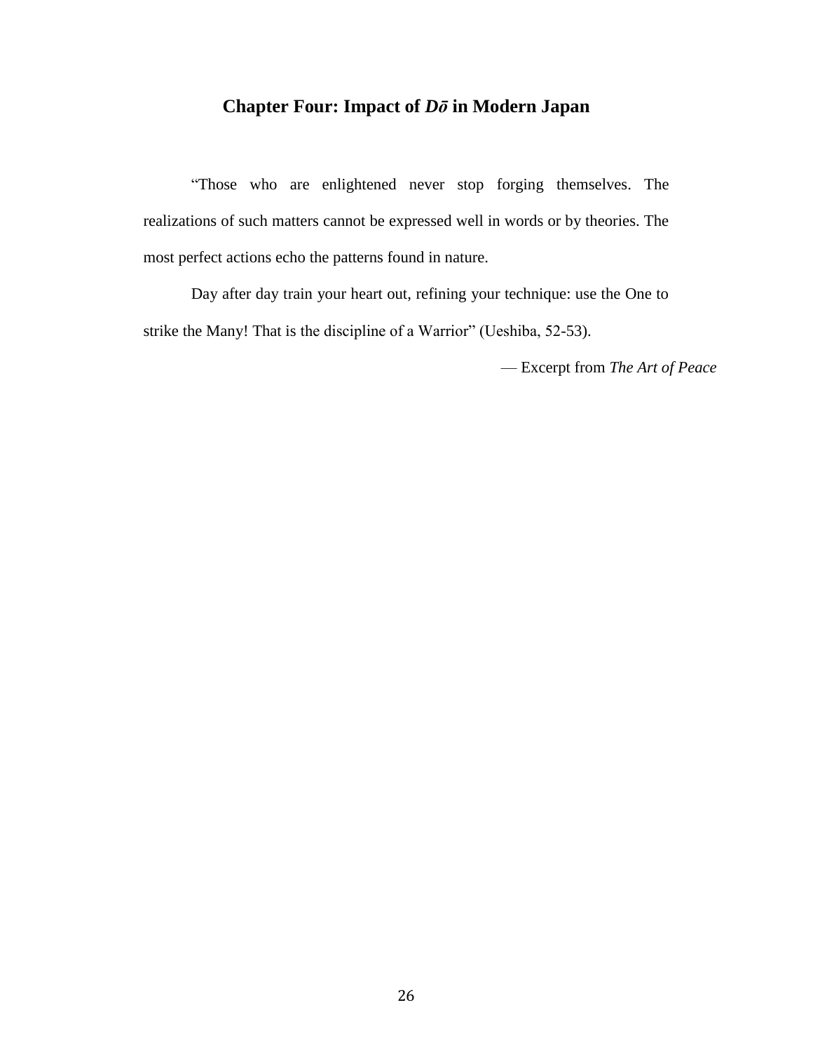# **Chapter Four: Impact of** *Dō* **in Modern Japan**

"Those who are enlightened never stop forging themselves. The realizations of such matters cannot be expressed well in words or by theories. The most perfect actions echo the patterns found in nature.

Day after day train your heart out, refining your technique: use the One to strike the Many! That is the discipline of a Warrior" (Ueshiba, 52-53).

— Excerpt from *The Art of Peace*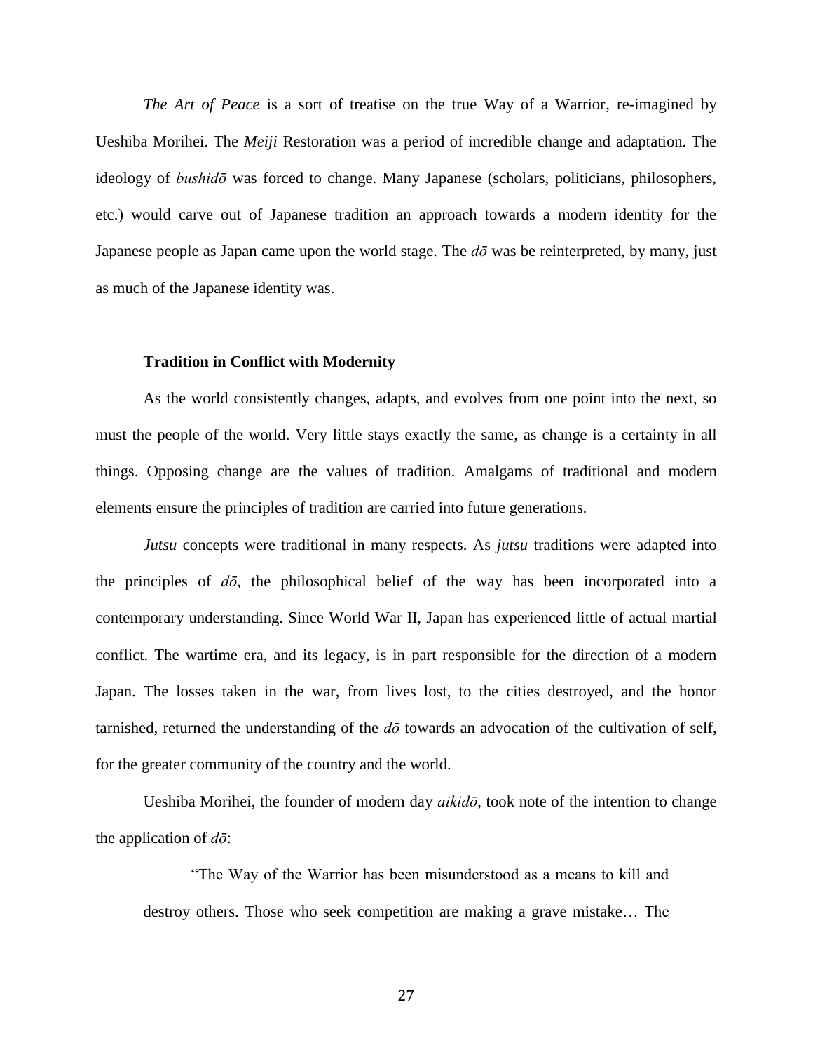*The Art of Peace* is a sort of treatise on the true Way of a Warrior, re-imagined by Ueshiba Morihei. The *Meiji* Restoration was a period of incredible change and adaptation. The ideology of *bushidō* was forced to change. Many Japanese (scholars, politicians, philosophers, etc.) would carve out of Japanese tradition an approach towards a modern identity for the Japanese people as Japan came upon the world stage. The *dō* was be reinterpreted, by many, just as much of the Japanese identity was.

#### **Tradition in Conflict with Modernity**

As the world consistently changes, adapts, and evolves from one point into the next, so must the people of the world. Very little stays exactly the same, as change is a certainty in all things. Opposing change are the values of tradition. Amalgams of traditional and modern elements ensure the principles of tradition are carried into future generations.

*Jutsu* concepts were traditional in many respects. As *jutsu* traditions were adapted into the principles of *dō*, the philosophical belief of the way has been incorporated into a contemporary understanding. Since World War II, Japan has experienced little of actual martial conflict. The wartime era, and its legacy, is in part responsible for the direction of a modern Japan. The losses taken in the war, from lives lost, to the cities destroyed, and the honor tarnished, returned the understanding of the *dō* towards an advocation of the cultivation of self, for the greater community of the country and the world.

Ueshiba Morihei, the founder of modern day *aikidō*, took note of the intention to change the application of *dō*:

"The Way of the Warrior has been misunderstood as a means to kill and destroy others. Those who seek competition are making a grave mistake… The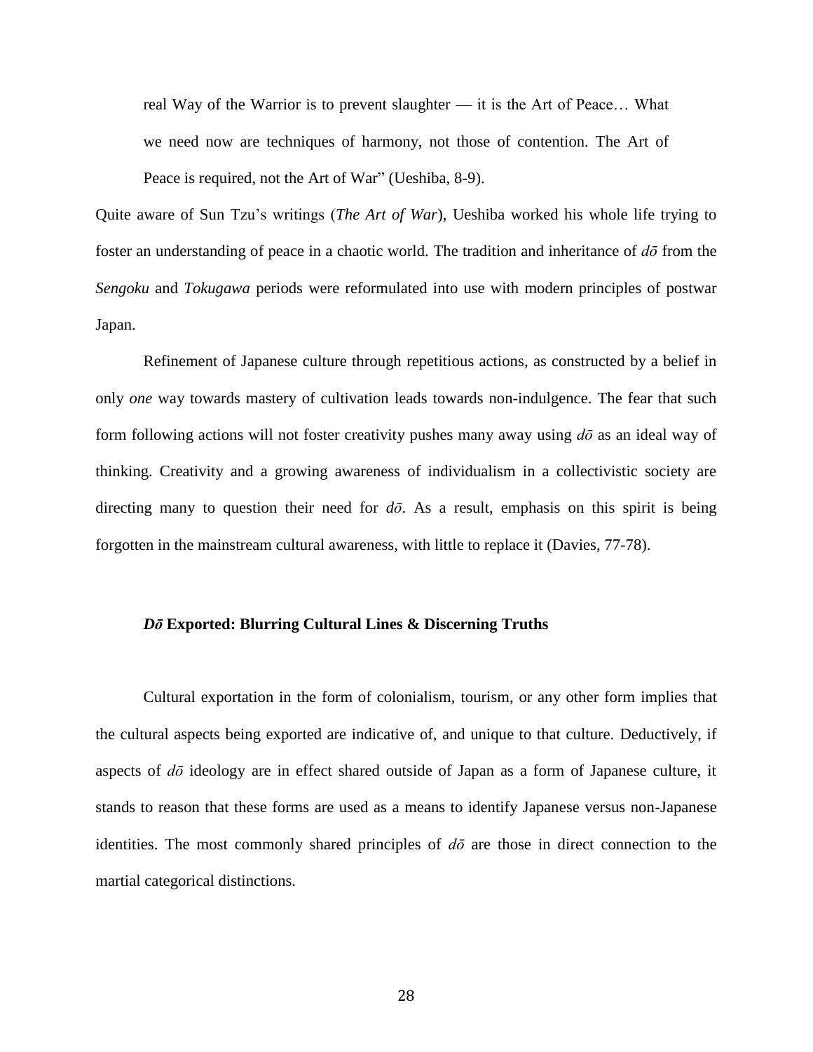real Way of the Warrior is to prevent slaughter — it is the Art of Peace… What we need now are techniques of harmony, not those of contention. The Art of Peace is required, not the Art of War" (Ueshiba, 8-9).

Quite aware of Sun Tzu's writings (*The Art of War*), Ueshiba worked his whole life trying to foster an understanding of peace in a chaotic world. The tradition and inheritance of *dō* from the *Sengoku* and *Tokugawa* periods were reformulated into use with modern principles of postwar Japan.

Refinement of Japanese culture through repetitious actions, as constructed by a belief in only *one* way towards mastery of cultivation leads towards non-indulgence. The fear that such form following actions will not foster creativity pushes many away using *dō* as an ideal way of thinking. Creativity and a growing awareness of individualism in a collectivistic society are directing many to question their need for  $d\bar{\sigma}$ . As a result, emphasis on this spirit is being forgotten in the mainstream cultural awareness, with little to replace it (Davies, 77-78).

### *Dō* **Exported: Blurring Cultural Lines & Discerning Truths**

Cultural exportation in the form of colonialism, tourism, or any other form implies that the cultural aspects being exported are indicative of, and unique to that culture. Deductively, if aspects of *dō* ideology are in effect shared outside of Japan as a form of Japanese culture, it stands to reason that these forms are used as a means to identify Japanese versus non-Japanese identities. The most commonly shared principles of *dō* are those in direct connection to the martial categorical distinctions.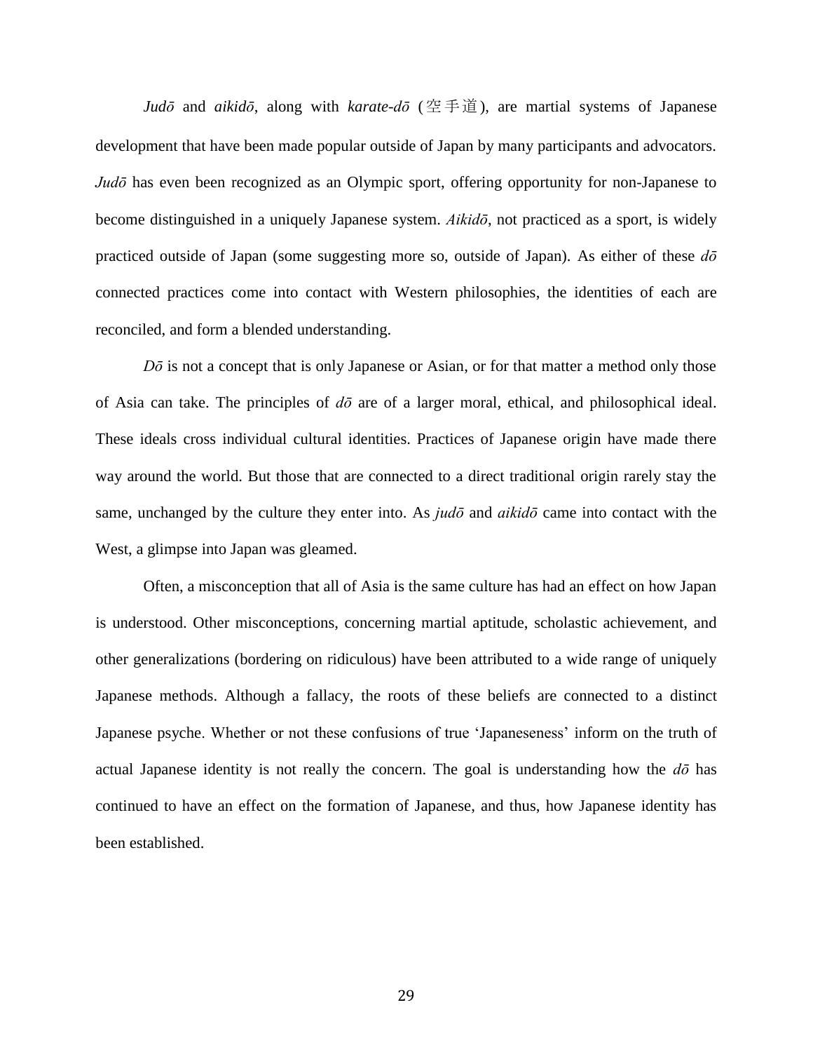*Judō* and *aikidō*, along with *karate-dō* (空手道), are martial systems of Japanese development that have been made popular outside of Japan by many participants and advocators. *Judō* has even been recognized as an Olympic sport, offering opportunity for non-Japanese to become distinguished in a uniquely Japanese system. *Aikidō*, not practiced as a sport, is widely practiced outside of Japan (some suggesting more so, outside of Japan). As either of these *dō* connected practices come into contact with Western philosophies, the identities of each are reconciled, and form a blended understanding.

*Dō* is not a concept that is only Japanese or Asian, or for that matter a method only those of Asia can take. The principles of *dō* are of a larger moral, ethical, and philosophical ideal. These ideals cross individual cultural identities. Practices of Japanese origin have made there way around the world. But those that are connected to a direct traditional origin rarely stay the same, unchanged by the culture they enter into. As *judō* and *aikidō* came into contact with the West, a glimpse into Japan was gleamed.

Often, a misconception that all of Asia is the same culture has had an effect on how Japan is understood. Other misconceptions, concerning martial aptitude, scholastic achievement, and other generalizations (bordering on ridiculous) have been attributed to a wide range of uniquely Japanese methods. Although a fallacy, the roots of these beliefs are connected to a distinct Japanese psyche. Whether or not these confusions of true 'Japaneseness' inform on the truth of actual Japanese identity is not really the concern. The goal is understanding how the *dō* has continued to have an effect on the formation of Japanese, and thus, how Japanese identity has been established.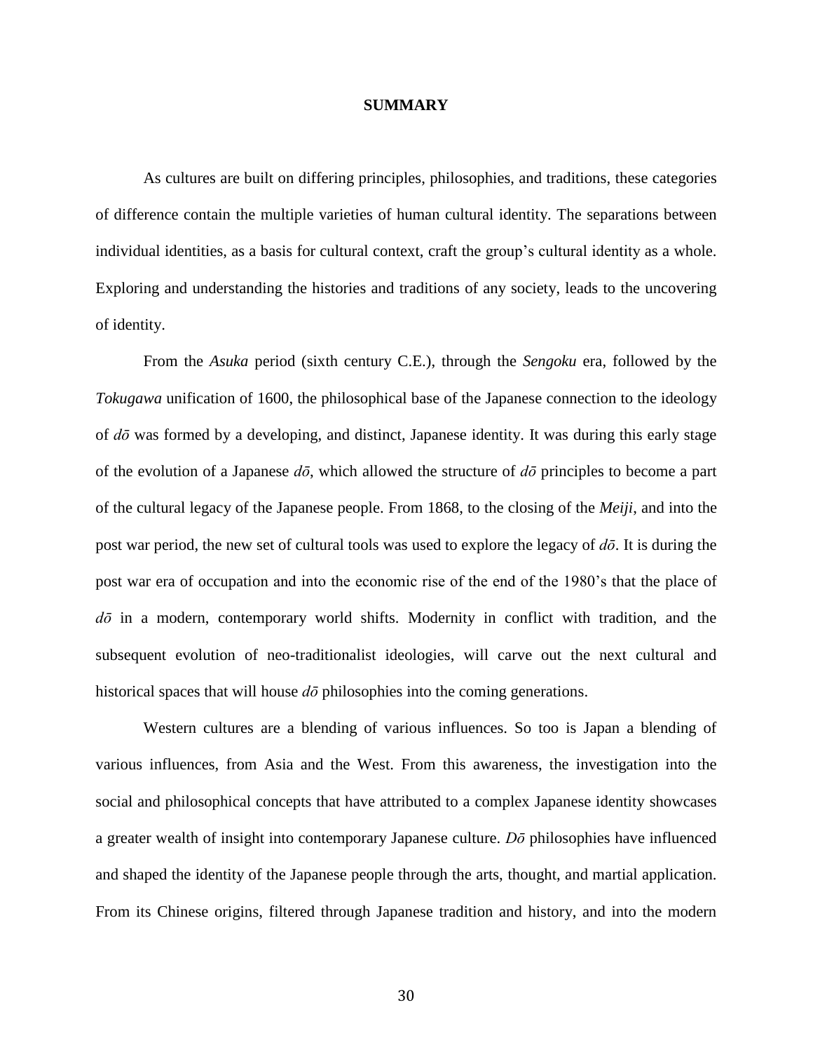### **SUMMARY**

As cultures are built on differing principles, philosophies, and traditions, these categories of difference contain the multiple varieties of human cultural identity. The separations between individual identities, as a basis for cultural context, craft the group's cultural identity as a whole. Exploring and understanding the histories and traditions of any society, leads to the uncovering of identity.

From the *Asuka* period (sixth century C.E.), through the *Sengoku* era, followed by the *Tokugawa* unification of 1600, the philosophical base of the Japanese connection to the ideology of *dō* was formed by a developing, and distinct, Japanese identity. It was during this early stage of the evolution of a Japanese *dō*, which allowed the structure of *dō* principles to become a part of the cultural legacy of the Japanese people. From 1868, to the closing of the *Meiji*, and into the post war period, the new set of cultural tools was used to explore the legacy of *dō*. It is during the post war era of occupation and into the economic rise of the end of the 1980's that the place of *dō* in a modern, contemporary world shifts. Modernity in conflict with tradition, and the subsequent evolution of neo-traditionalist ideologies, will carve out the next cultural and historical spaces that will house *dō* philosophies into the coming generations.

Western cultures are a blending of various influences. So too is Japan a blending of various influences, from Asia and the West. From this awareness, the investigation into the social and philosophical concepts that have attributed to a complex Japanese identity showcases a greater wealth of insight into contemporary Japanese culture. *Dō* philosophies have influenced and shaped the identity of the Japanese people through the arts, thought, and martial application. From its Chinese origins, filtered through Japanese tradition and history, and into the modern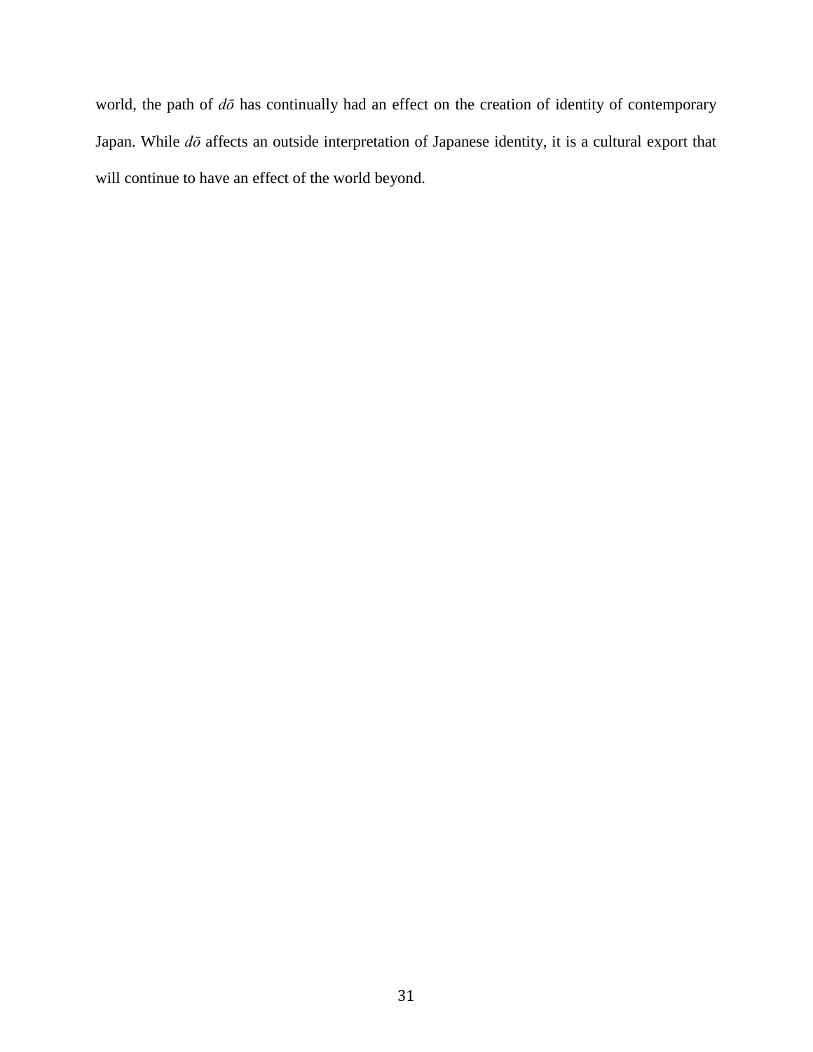world, the path of *dō* has continually had an effect on the creation of identity of contemporary Japan. While *dō* affects an outside interpretation of Japanese identity, it is a cultural export that will continue to have an effect of the world beyond.